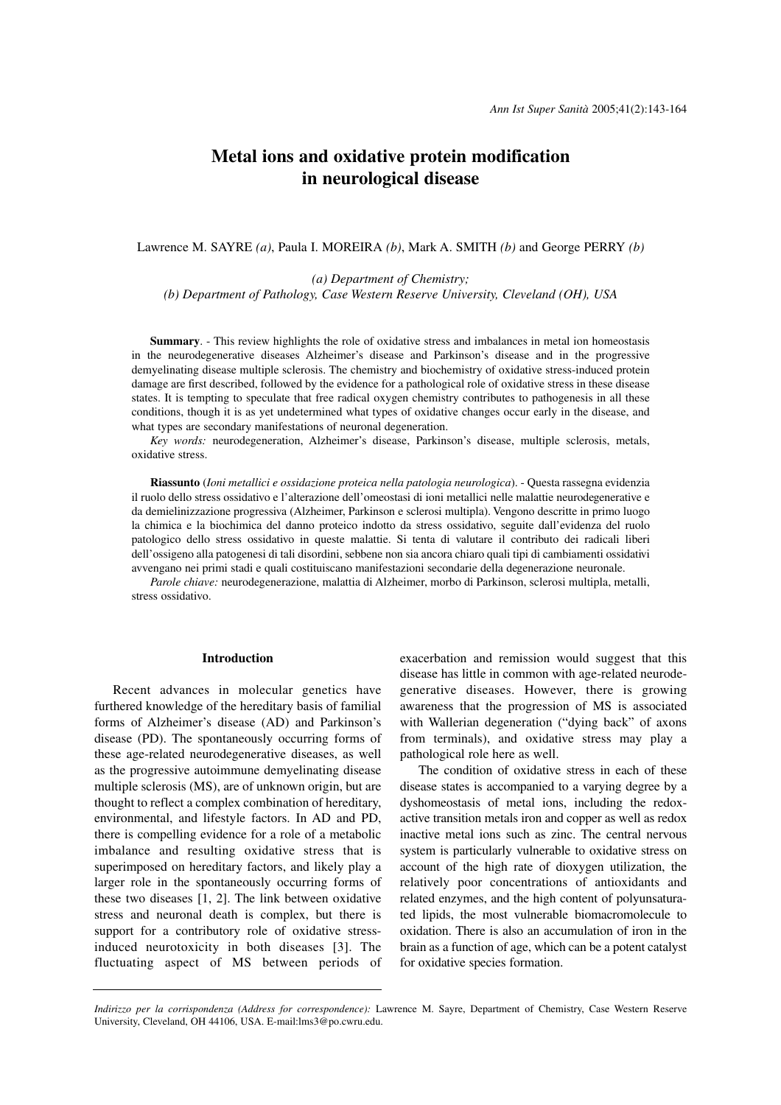# **Metal ions and oxidative protein modification in neurological disease**

Lawrence M. SAYRE *(a)*, Paula I. MOREIRA *(b)*, Mark A. SMITH *(b)* and George PERRY *(b)*

*(a) Department of Chemistry; (b) Department of Pathology, Case Western Reserve University, Cleveland (OH), USA*

**Summary**. - This review highlights the role of oxidative stress and imbalances in metal ion homeostasis in the neurodegenerative diseases Alzheimer's disease and Parkinson's disease and in the progressive demyelinating disease multiple sclerosis. The chemistry and biochemistry of oxidative stress-induced protein damage are first described, followed by the evidence for a pathological role of oxidative stress in these disease states. It is tempting to speculate that free radical oxygen chemistry contributes to pathogenesis in all these conditions, though it is as yet undetermined what types of oxidative changes occur early in the disease, and what types are secondary manifestations of neuronal degeneration.

*Key words:* neurodegeneration, Alzheimer's disease, Parkinson's disease, multiple sclerosis, metals, oxidative stress.

**Riassunto** (*Ioni metallici e ossidazione proteica nella patologia neurologica*). - Questa rassegna evidenzia il ruolo dello stress ossidativo e l'alterazione dell'omeostasi di ioni metallici nelle malattie neurodegenerative e da demielinizzazione progressiva (Alzheimer, Parkinson e sclerosi multipla). Vengono descritte in primo luogo la chimica e la biochimica del danno proteico indotto da stress ossidativo, seguite dall'evidenza del ruolo patologico dello stress ossidativo in queste malattie. Si tenta di valutare il contributo dei radicali liberi dell'ossigeno alla patogenesi di tali disordini, sebbene non sia ancora chiaro quali tipi di cambiamenti ossidativi avvengano nei primi stadi e quali costituiscano manifestazioni secondarie della degenerazione neuronale.

*Parole chiave:* neurodegenerazione, malattia di Alzheimer, morbo di Parkinson, sclerosi multipla, metalli, stress ossidativo.

### **Introduction**

Recent advances in molecular genetics have furthered knowledge of the hereditary basis of familial forms of Alzheimer's disease (AD) and Parkinson's disease (PD). The spontaneously occurring forms of these age-related neurodegenerative diseases, as well as the progressive autoimmune demyelinating disease multiple sclerosis (MS), are of unknown origin, but are thought to reflect a complex combination of hereditary, environmental, and lifestyle factors. In AD and PD, there is compelling evidence for a role of a metabolic imbalance and resulting oxidative stress that is superimposed on hereditary factors, and likely play a larger role in the spontaneously occurring forms of these two diseases [1, 2]. The link between oxidative stress and neuronal death is complex, but there is support for a contributory role of oxidative stressinduced neurotoxicity in both diseases [3]. The fluctuating aspect of MS between periods of exacerbation and remission would suggest that this disease has little in common with age-related neurodegenerative diseases. However, there is growing awareness that the progression of MS is associated with Wallerian degeneration ("dying back" of axons from terminals), and oxidative stress may play a pathological role here as well.

The condition of oxidative stress in each of these disease states is accompanied to a varying degree by a dyshomeostasis of metal ions, including the redoxactive transition metals iron and copper as well as redox inactive metal ions such as zinc. The central nervous system is particularly vulnerable to oxidative stress on account of the high rate of dioxygen utilization, the relatively poor concentrations of antioxidants and related enzymes, and the high content of polyunsaturated lipids, the most vulnerable biomacromolecule to oxidation. There is also an accumulation of iron in the brain as a function of age, which can be a potent catalyst for oxidative species formation.

*Indirizzo per la corrispondenza (Address for correspondence):* Lawrence M. Sayre, Department of Chemistry, Case Western Reserve University, Cleveland, OH 44106, USA. E-mail:lms3@po.cwru.edu.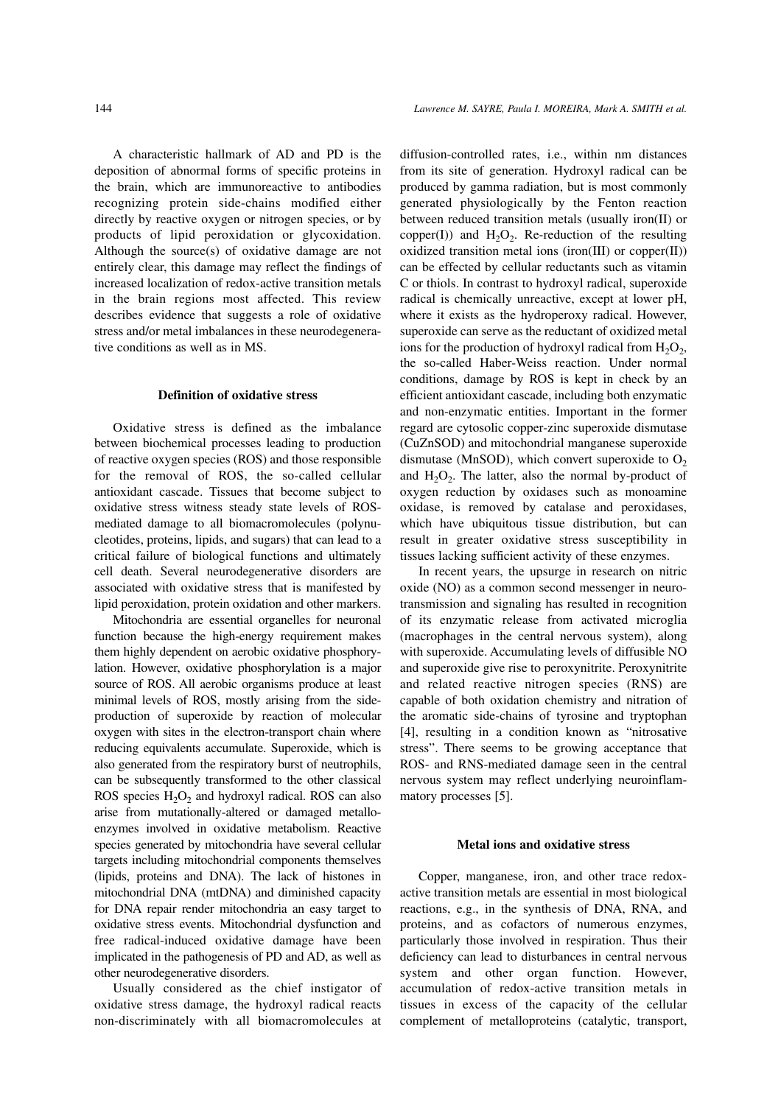A characteristic hallmark of AD and PD is the deposition of abnormal forms of specific proteins in the brain, which are immunoreactive to antibodies recognizing protein side-chains modified either directly by reactive oxygen or nitrogen species, or by products of lipid peroxidation or glycoxidation. Although the source(s) of oxidative damage are not entirely clear, this damage may reflect the findings of increased localization of redox-active transition metals in the brain regions most affected. This review describes evidence that suggests a role of oxidative stress and/or metal imbalances in these neurodegenerative conditions as well as in MS.

### **Definition of oxidative stress**

Oxidative stress is defined as the imbalance between biochemical processes leading to production of reactive oxygen species (ROS) and those responsible for the removal of ROS, the so-called cellular antioxidant cascade. Tissues that become subject to oxidative stress witness steady state levels of ROSmediated damage to all biomacromolecules (polynucleotides, proteins, lipids, and sugars) that can lead to a critical failure of biological functions and ultimately cell death. Several neurodegenerative disorders are associated with oxidative stress that is manifested by lipid peroxidation, protein oxidation and other markers.

Mitochondria are essential organelles for neuronal function because the high-energy requirement makes them highly dependent on aerobic oxidative phosphorylation. However, oxidative phosphorylation is a major source of ROS. All aerobic organisms produce at least minimal levels of ROS, mostly arising from the sideproduction of superoxide by reaction of molecular oxygen with sites in the electron-transport chain where reducing equivalents accumulate. Superoxide, which is also generated from the respiratory burst of neutrophils, can be subsequently transformed to the other classical ROS species  $H_2O_2$  and hydroxyl radical. ROS can also arise from mutationally-altered or damaged metalloenzymes involved in oxidative metabolism. Reactive species generated by mitochondria have several cellular targets including mitochondrial components themselves (lipids, proteins and DNA). The lack of histones in mitochondrial DNA (mtDNA) and diminished capacity for DNA repair render mitochondria an easy target to oxidative stress events. Mitochondrial dysfunction and free radical-induced oxidative damage have been implicated in the pathogenesis of PD and AD, as well as other neurodegenerative disorders.

Usually considered as the chief instigator of oxidative stress damage, the hydroxyl radical reacts non-discriminately with all biomacromolecules at diffusion-controlled rates, i.e., within nm distances from its site of generation. Hydroxyl radical can be produced by gamma radiation, but is most commonly generated physiologically by the Fenton reaction between reduced transition metals (usually iron(II) or copper(I)) and  $H_2O_2$ . Re-reduction of the resulting oxidized transition metal ions (iron(III) or copper(II)) can be effected by cellular reductants such as vitamin C or thiols. In contrast to hydroxyl radical, superoxide radical is chemically unreactive, except at lower pH, where it exists as the hydroperoxy radical. However, superoxide can serve as the reductant of oxidized metal ions for the production of hydroxyl radical from  $H_2O_2$ , the so-called Haber-Weiss reaction. Under normal conditions, damage by ROS is kept in check by an efficient antioxidant cascade, including both enzymatic and non-enzymatic entities. Important in the former regard are cytosolic copper-zinc superoxide dismutase (CuZnSOD) and mitochondrial manganese superoxide dismutase (MnSOD), which convert superoxide to  $O<sub>2</sub>$ and  $H_2O_2$ . The latter, also the normal by-product of oxygen reduction by oxidases such as monoamine oxidase, is removed by catalase and peroxidases, which have ubiquitous tissue distribution, but can result in greater oxidative stress susceptibility in tissues lacking sufficient activity of these enzymes.

In recent years, the upsurge in research on nitric oxide (NO) as a common second messenger in neurotransmission and signaling has resulted in recognition of its enzymatic release from activated microglia (macrophages in the central nervous system), along with superoxide. Accumulating levels of diffusible NO and superoxide give rise to peroxynitrite. Peroxynitrite and related reactive nitrogen species (RNS) are capable of both oxidation chemistry and nitration of the aromatic side-chains of tyrosine and tryptophan [4], resulting in a condition known as "nitrosative stress". There seems to be growing acceptance that ROS- and RNS-mediated damage seen in the central nervous system may reflect underlying neuroinflammatory processes [5].

#### **Metal ions and oxidative stress**

Copper, manganese, iron, and other trace redoxactive transition metals are essential in most biological reactions, e.g., in the synthesis of DNA, RNA, and proteins, and as cofactors of numerous enzymes, particularly those involved in respiration. Thus their deficiency can lead to disturbances in central nervous system and other organ function. However, accumulation of redox-active transition metals in tissues in excess of the capacity of the cellular complement of metalloproteins (catalytic, transport,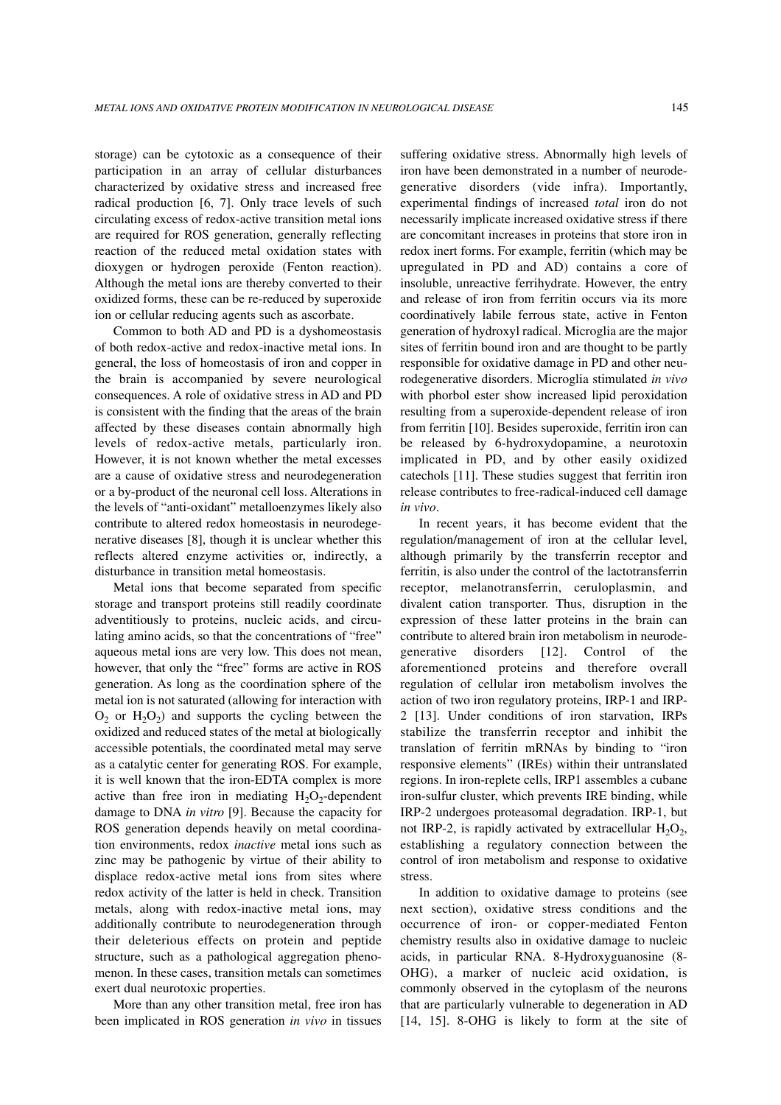storage) can be cytotoxic as a consequence of their participation in an array of cellular disturbances characterized by oxidative stress and increased free radical production [6, 7]. Only trace levels of such circulating excess of redox-active transition metal ions are required for ROS generation, generally reflecting reaction of the reduced metal oxidation states with dioxygen or hydrogen peroxide (Fenton reaction). Although the metal ions are thereby converted to their oxidized forms, these can be re-reduced by superoxide ion or cellular reducing agents such as ascorbate.

Common to both AD and PD is a dyshomeostasis of both redox-active and redox-inactive metal ions. In general, the loss of homeostasis of iron and copper in the brain is accompanied by severe neurological consequences. A role of oxidative stress in AD and PD is consistent with the finding that the areas of the brain affected by these diseases contain abnormally high levels of redox-active metals, particularly iron. However, it is not known whether the metal excesses are a cause of oxidative stress and neurodegeneration or a by-product of the neuronal cell loss. Alterations in the levels of "anti-oxidant" metalloenzymes likely also contribute to altered redox homeostasis in neurodegenerative diseases [8], though it is unclear whether this reflects altered enzyme activities or, indirectly, a disturbance in transition metal homeostasis.

Metal ions that become separated from specific storage and transport proteins still readily coordinate adventitiously to proteins, nucleic acids, and circulating amino acids, so that the concentrations of "free" aqueous metal ions are very low. This does not mean, however, that only the "free" forms are active in ROS generation. As long as the coordination sphere of the metal ion is not saturated (allowing for interaction with  $O_2$  or  $H_2O_2$ ) and supports the cycling between the oxidized and reduced states of the metal at biologically accessible potentials, the coordinated metal may serve as a catalytic center for generating ROS. For example, it is well known that the iron-EDTA complex is more active than free iron in mediating  $H_2O_2$ -dependent damage to DNA *in vitro* [9]. Because the capacity for ROS generation depends heavily on metal coordination environments, redox *inactive* metal ions such as zinc may be pathogenic by virtue of their ability to displace redox-active metal ions from sites where redox activity of the latter is held in check. Transition metals, along with redox-inactive metal ions, may additionally contribute to neurodegeneration through their deleterious effects on protein and peptide structure, such as a pathological aggregation phenomenon. In these cases, transition metals can sometimes exert dual neurotoxic properties.

More than any other transition metal, free iron has been implicated in ROS generation *in vivo* in tissues suffering oxidative stress. Abnormally high levels of iron have been demonstrated in a number of neurodegenerative disorders (vide infra). Importantly, experimental findings of increased *total* iron do not necessarily implicate increased oxidative stress if there are concomitant increases in proteins that store iron in redox inert forms. For example, ferritin (which may be upregulated in PD and AD) contains a core of insoluble, unreactive ferrihydrate. However, the entry and release of iron from ferritin occurs via its more coordinatively labile ferrous state, active in Fenton generation of hydroxyl radical. Microglia are the major sites of ferritin bound iron and are thought to be partly responsible for oxidative damage in PD and other neurodegenerative disorders. Microglia stimulated *in vivo* with phorbol ester show increased lipid peroxidation resulting from a superoxide-dependent release of iron from ferritin [10]. Besides superoxide, ferritin iron can be released by 6-hydroxydopamine, a neurotoxin implicated in PD, and by other easily oxidized catechols [11]. These studies suggest that ferritin iron release contributes to free-radical-induced cell damage *in vivo*.

In recent years, it has become evident that the regulation/management of iron at the cellular level, although primarily by the transferrin receptor and ferritin, is also under the control of the lactotransferrin receptor, melanotransferrin, ceruloplasmin, and divalent cation transporter. Thus, disruption in the expression of these latter proteins in the brain can contribute to altered brain iron metabolism in neurodegenerative disorders [12]. Control of the aforementioned proteins and therefore overall regulation of cellular iron metabolism involves the action of two iron regulatory proteins, IRP-1 and IRP-2 [13]. Under conditions of iron starvation, IRPs stabilize the transferrin receptor and inhibit the translation of ferritin mRNAs by binding to "iron responsive elements" (IREs) within their untranslated regions. In iron-replete cells, IRP1 assembles a cubane iron-sulfur cluster, which prevents IRE binding, while IRP-2 undergoes proteasomal degradation. IRP-1, but not IRP-2, is rapidly activated by extracellular  $H_2O_2$ , establishing a regulatory connection between the control of iron metabolism and response to oxidative stress.

In addition to oxidative damage to proteins (see next section), oxidative stress conditions and the occurrence of iron- or copper-mediated Fenton chemistry results also in oxidative damage to nucleic acids, in particular RNA. 8-Hydroxyguanosine (8- OHG), a marker of nucleic acid oxidation, is commonly observed in the cytoplasm of the neurons that are particularly vulnerable to degeneration in AD [14, 15]. 8-OHG is likely to form at the site of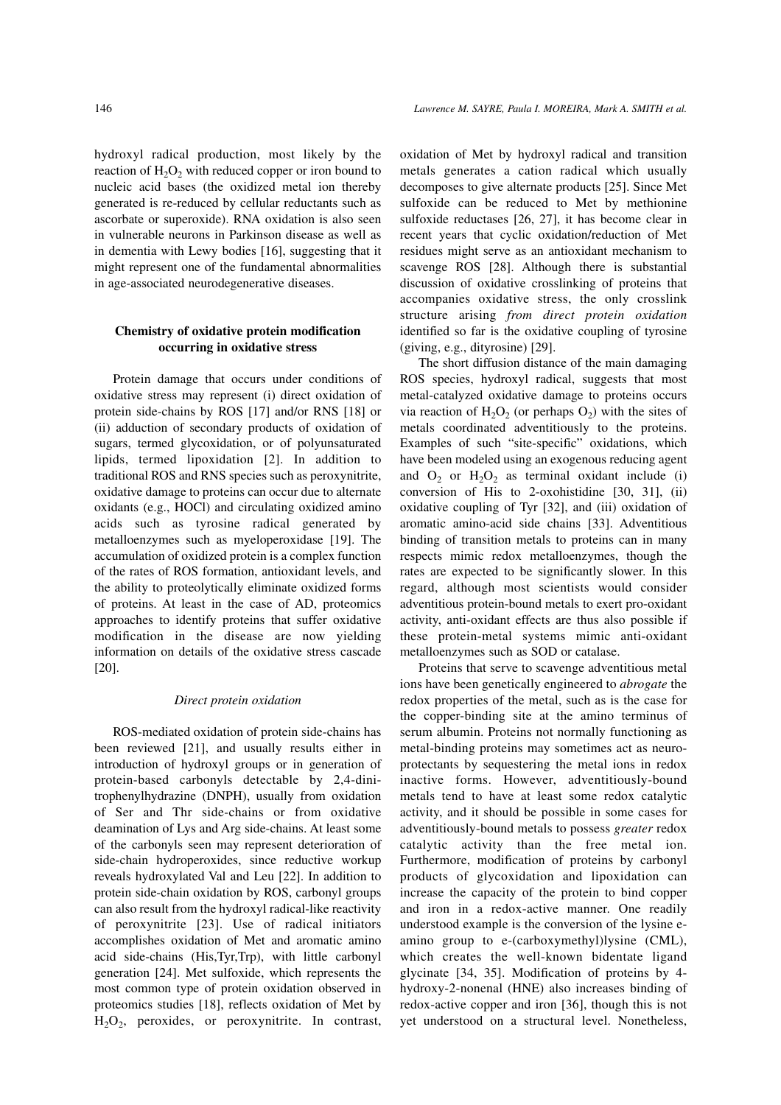hydroxyl radical production, most likely by the reaction of  $H_2O_2$  with reduced copper or iron bound to nucleic acid bases (the oxidized metal ion thereby generated is re-reduced by cellular reductants such as ascorbate or superoxide). RNA oxidation is also seen in vulnerable neurons in Parkinson disease as well as in dementia with Lewy bodies [16], suggesting that it might represent one of the fundamental abnormalities in age-associated neurodegenerative diseases.

## **Chemistry of oxidative protein modification occurring in oxidative stress**

Protein damage that occurs under conditions of oxidative stress may represent (i) direct oxidation of protein side-chains by ROS [17] and/or RNS [18] or (ii) adduction of secondary products of oxidation of sugars, termed glycoxidation, or of polyunsaturated lipids, termed lipoxidation [2]. In addition to traditional ROS and RNS species such as peroxynitrite, oxidative damage to proteins can occur due to alternate oxidants (e.g., HOCl) and circulating oxidized amino acids such as tyrosine radical generated by metalloenzymes such as myeloperoxidase [19]. The accumulation of oxidized protein is a complex function of the rates of ROS formation, antioxidant levels, and the ability to proteolytically eliminate oxidized forms of proteins. At least in the case of AD, proteomics approaches to identify proteins that suffer oxidative modification in the disease are now yielding information on details of the oxidative stress cascade [20].

### *Direct protein oxidation*

ROS-mediated oxidation of protein side-chains has been reviewed [21], and usually results either in introduction of hydroxyl groups or in generation of protein-based carbonyls detectable by 2,4-dinitrophenylhydrazine (DNPH), usually from oxidation of Ser and Thr side-chains or from oxidative deamination of Lys and Arg side-chains. At least some of the carbonyls seen may represent deterioration of side-chain hydroperoxides, since reductive workup reveals hydroxylated Val and Leu [22]. In addition to protein side-chain oxidation by ROS, carbonyl groups can also result from the hydroxyl radical-like reactivity of peroxynitrite [23]. Use of radical initiators accomplishes oxidation of Met and aromatic amino acid side-chains (His,Tyr,Trp), with little carbonyl generation [24]. Met sulfoxide, which represents the most common type of protein oxidation observed in proteomics studies [18], reflects oxidation of Met by  $H<sub>2</sub>O<sub>2</sub>$ , peroxides, or peroxynitrite. In contrast, oxidation of Met by hydroxyl radical and transition metals generates a cation radical which usually decomposes to give alternate products [25]. Since Met sulfoxide can be reduced to Met by methionine sulfoxide reductases [26, 27], it has become clear in recent years that cyclic oxidation/reduction of Met residues might serve as an antioxidant mechanism to scavenge ROS [28]. Although there is substantial discussion of oxidative crosslinking of proteins that accompanies oxidative stress, the only crosslink structure arising *from direct protein oxidation* identified so far is the oxidative coupling of tyrosine (giving, e.g., dityrosine) [29].

The short diffusion distance of the main damaging ROS species, hydroxyl radical, suggests that most metal-catalyzed oxidative damage to proteins occurs via reaction of  $H_2O_2$  (or perhaps  $O_2$ ) with the sites of metals coordinated adventitiously to the proteins. Examples of such "site-specific" oxidations, which have been modeled using an exogenous reducing agent and  $O_2$  or  $H_2O_2$  as terminal oxidant include (i) conversion of His to 2-oxohistidine [30, 31], (ii) oxidative coupling of Tyr [32], and (iii) oxidation of aromatic amino-acid side chains [33]. Adventitious binding of transition metals to proteins can in many respects mimic redox metalloenzymes, though the rates are expected to be significantly slower. In this regard, although most scientists would consider adventitious protein-bound metals to exert pro-oxidant activity, anti-oxidant effects are thus also possible if these protein-metal systems mimic anti-oxidant metalloenzymes such as SOD or catalase.

Proteins that serve to scavenge adventitious metal ions have been genetically engineered to *abrogate* the redox properties of the metal, such as is the case for the copper-binding site at the amino terminus of serum albumin. Proteins not normally functioning as metal-binding proteins may sometimes act as neuroprotectants by sequestering the metal ions in redox inactive forms. However, adventitiously-bound metals tend to have at least some redox catalytic activity, and it should be possible in some cases for adventitiously-bound metals to possess *greater* redox catalytic activity than the free metal ion. Furthermore, modification of proteins by carbonyl products of glycoxidation and lipoxidation can increase the capacity of the protein to bind copper and iron in a redox-active manner. One readily understood example is the conversion of the lysine eamino group to e-(carboxymethyl)lysine (CML), which creates the well-known bidentate ligand glycinate [34, 35]. Modification of proteins by 4 hydroxy-2-nonenal (HNE) also increases binding of redox-active copper and iron [36], though this is not yet understood on a structural level. Nonetheless,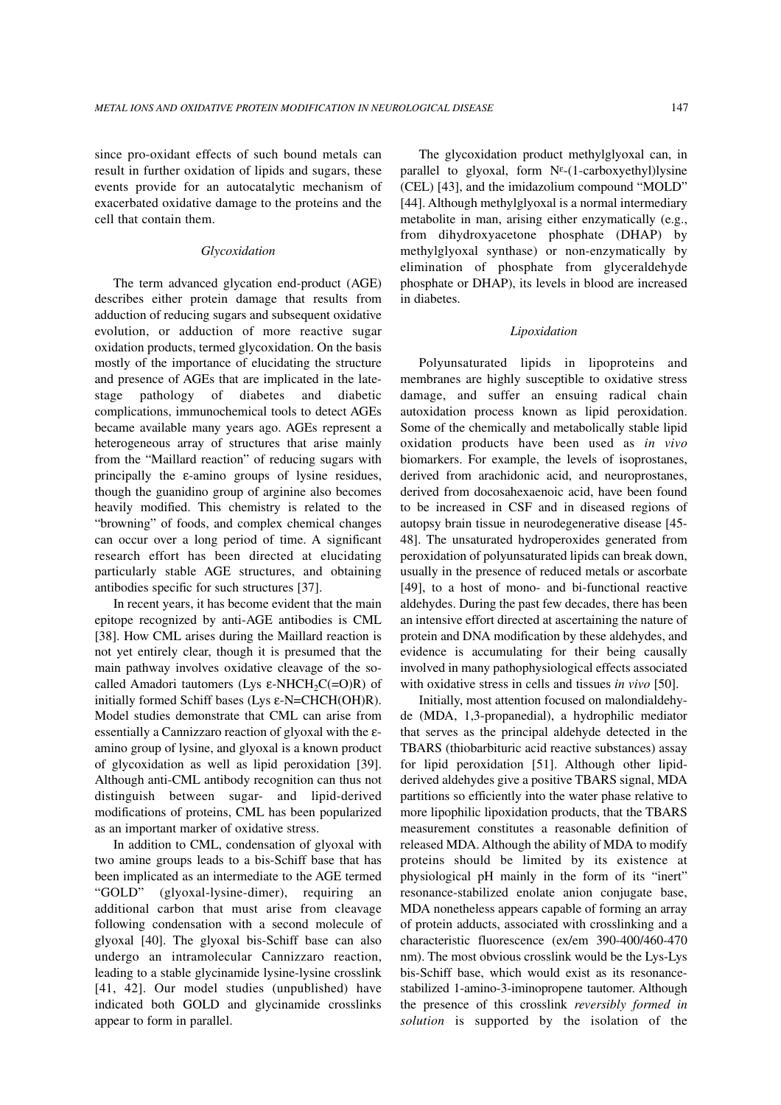since pro-oxidant effects of such bound metals can result in further oxidation of lipids and sugars, these events provide for an autocatalytic mechanism of exacerbated oxidative damage to the proteins and the cell that contain them.

### *Glycoxidation*

The term advanced glycation end-product (AGE) describes either protein damage that results from adduction of reducing sugars and subsequent oxidative evolution, or adduction of more reactive sugar oxidation products, termed glycoxidation. On the basis mostly of the importance of elucidating the structure and presence of AGEs that are implicated in the latestage pathology of diabetes and diabetic complications, immunochemical tools to detect AGEs became available many years ago. AGEs represent a heterogeneous array of structures that arise mainly from the "Maillard reaction" of reducing sugars with principally the ε-amino groups of lysine residues, though the guanidino group of arginine also becomes heavily modified. This chemistry is related to the "browning" of foods, and complex chemical changes can occur over a long period of time. A significant research effort has been directed at elucidating particularly stable AGE structures, and obtaining antibodies specific for such structures [37].

In recent years, it has become evident that the main epitope recognized by anti-AGE antibodies is CML [38]. How CML arises during the Maillard reaction is not yet entirely clear, though it is presumed that the main pathway involves oxidative cleavage of the socalled Amadori tautomers (Lys  $\varepsilon$ -NHCH<sub>2</sub>C(=O)R) of initially formed Schiff bases (Lys ε-N=CHCH(OH)R). Model studies demonstrate that CML can arise from essentially a Cannizzaro reaction of glyoxal with the εamino group of lysine, and glyoxal is a known product of glycoxidation as well as lipid peroxidation [39]. Although anti-CML antibody recognition can thus not distinguish between sugar- and lipid-derived modifications of proteins, CML has been popularized as an important marker of oxidative stress.

In addition to CML, condensation of glyoxal with two amine groups leads to a bis-Schiff base that has been implicated as an intermediate to the AGE termed "GOLD" (glyoxal-lysine-dimer), requiring an additional carbon that must arise from cleavage following condensation with a second molecule of glyoxal [40]. The glyoxal bis-Schiff base can also undergo an intramolecular Cannizzaro reaction, leading to a stable glycinamide lysine-lysine crosslink [41, 42]. Our model studies (unpublished) have indicated both GOLD and glycinamide crosslinks appear to form in parallel.

The glycoxidation product methylglyoxal can, in parallel to glyoxal, form  $N^{\epsilon}$ -(1-carboxyethyl)lysine (CEL) [43], and the imidazolium compound "MOLD" [44]. Although methylglyoxal is a normal intermediary metabolite in man, arising either enzymatically (e.g., from dihydroxyacetone phosphate (DHAP) by methylglyoxal synthase) or non-enzymatically by elimination of phosphate from glyceraldehyde phosphate or DHAP), its levels in blood are increased in diabetes.

### *Lipoxidation*

Polyunsaturated lipids in lipoproteins and membranes are highly susceptible to oxidative stress damage, and suffer an ensuing radical chain autoxidation process known as lipid peroxidation. Some of the chemically and metabolically stable lipid oxidation products have been used as *in vivo* biomarkers. For example, the levels of isoprostanes, derived from arachidonic acid, and neuroprostanes, derived from docosahexaenoic acid, have been found to be increased in CSF and in diseased regions of autopsy brain tissue in neurodegenerative disease [45- 48]. The unsaturated hydroperoxides generated from peroxidation of polyunsaturated lipids can break down, usually in the presence of reduced metals or ascorbate [49], to a host of mono- and bi-functional reactive aldehydes. During the past few decades, there has been an intensive effort directed at ascertaining the nature of protein and DNA modification by these aldehydes, and evidence is accumulating for their being causally involved in many pathophysiological effects associated with oxidative stress in cells and tissues *in vivo* [50].

Initially, most attention focused on malondialdehyde (MDA, 1,3-propanedial), a hydrophilic mediator that serves as the principal aldehyde detected in the TBARS (thiobarbituric acid reactive substances) assay for lipid peroxidation [51]. Although other lipidderived aldehydes give a positive TBARS signal, MDA partitions so efficiently into the water phase relative to more lipophilic lipoxidation products, that the TBARS measurement constitutes a reasonable definition of released MDA. Although the ability of MDA to modify proteins should be limited by its existence at physiological pH mainly in the form of its "inert" resonance-stabilized enolate anion conjugate base, MDA nonetheless appears capable of forming an array of protein adducts, associated with crosslinking and a characteristic fluorescence (ex/em 390-400/460-470 nm). The most obvious crosslink would be the Lys-Lys bis-Schiff base, which would exist as its resonancestabilized 1-amino-3-iminopropene tautomer. Although the presence of this crosslink *reversibly formed in solution* is supported by the isolation of the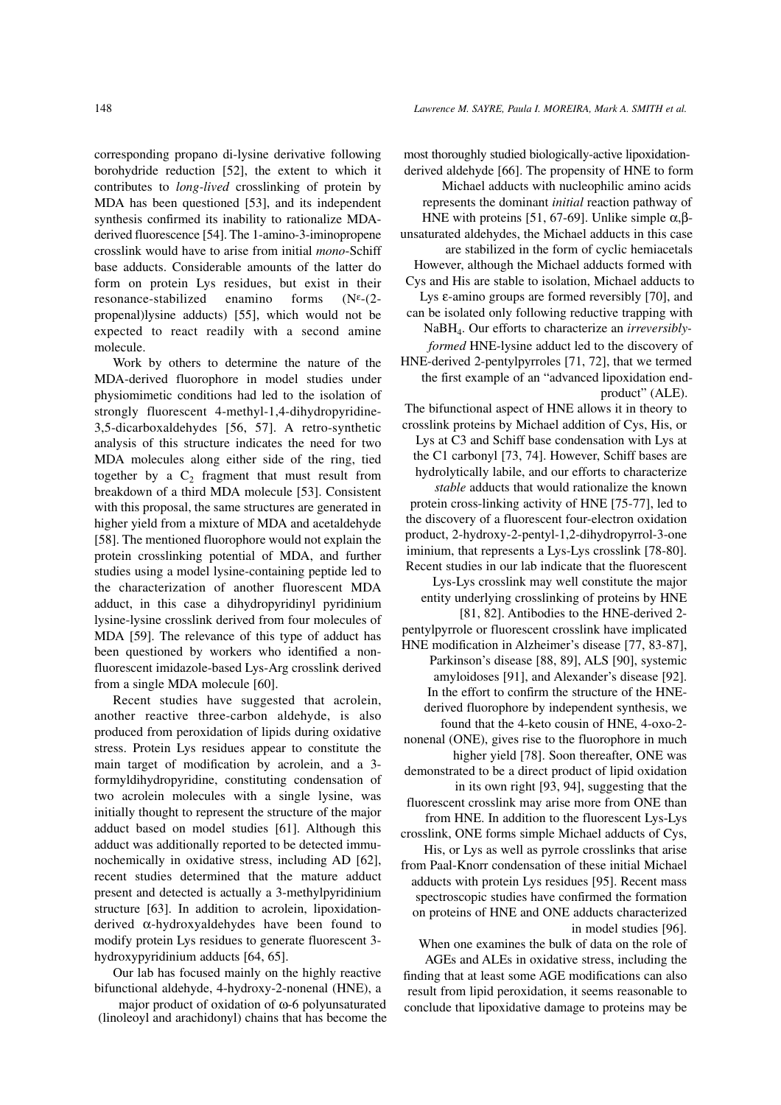corresponding propano di-lysine derivative following borohydride reduction [52], the extent to which it contributes to *long-lived* crosslinking of protein by MDA has been questioned [53], and its independent synthesis confirmed its inability to rationalize MDAderived fluorescence [54]. The 1-amino-3-iminopropene crosslink would have to arise from initial *mono*-Schiff base adducts. Considerable amounts of the latter do form on protein Lys residues, but exist in their resonance-stabilized enamino forms (N<sup>ε</sup>-(2 propenal)lysine adducts) [55], which would not be expected to react readily with a second amine molecule.

Work by others to determine the nature of the MDA-derived fluorophore in model studies under physiomimetic conditions had led to the isolation of strongly fluorescent 4-methyl-1,4-dihydropyridine-3,5-dicarboxaldehydes [56, 57]. A retro-synthetic analysis of this structure indicates the need for two MDA molecules along either side of the ring, tied together by a  $C_2$  fragment that must result from breakdown of a third MDA molecule [53]. Consistent with this proposal, the same structures are generated in higher yield from a mixture of MDA and acetaldehyde [58]. The mentioned fluorophore would not explain the protein crosslinking potential of MDA, and further studies using a model lysine-containing peptide led to the characterization of another fluorescent MDA adduct, in this case a dihydropyridinyl pyridinium lysine-lysine crosslink derived from four molecules of MDA [59]. The relevance of this type of adduct has been questioned by workers who identified a nonfluorescent imidazole-based Lys-Arg crosslink derived from a single MDA molecule [60].

Recent studies have suggested that acrolein, another reactive three-carbon aldehyde, is also produced from peroxidation of lipids during oxidative stress. Protein Lys residues appear to constitute the main target of modification by acrolein, and a 3 formyldihydropyridine, constituting condensation of two acrolein molecules with a single lysine, was initially thought to represent the structure of the major adduct based on model studies [61]. Although this adduct was additionally reported to be detected immunochemically in oxidative stress, including AD [62], recent studies determined that the mature adduct present and detected is actually a 3-methylpyridinium structure [63]. In addition to acrolein, lipoxidationderived α-hydroxyaldehydes have been found to modify protein Lys residues to generate fluorescent 3 hydroxypyridinium adducts [64, 65].

Our lab has focused mainly on the highly reactive bifunctional aldehyde, 4-hydroxy-2-nonenal (HNE), a

major product of oxidation of ω-6 polyunsaturated (linoleoyl and arachidonyl) chains that has become the most thoroughly studied biologically-active lipoxidation-

derived aldehyde [66]. The propensity of HNE to form Michael adducts with nucleophilic amino acids represents the dominant *initial* reaction pathway of HNE with proteins [51, 67-69]. Unlike simple  $\alpha$ ,βunsaturated aldehydes, the Michael adducts in this case are stabilized in the form of cyclic hemiacetals However, although the Michael adducts formed with Cys and His are stable to isolation, Michael adducts to Lys ε-amino groups are formed reversibly [70], and can be isolated only following reductive trapping with NaBH4. Our efforts to characterize an *irreversiblyformed* HNE-lysine adduct led to the discovery of HNE-derived 2-pentylpyrroles [71, 72], that we termed the first example of an "advanced lipoxidation endproduct" (ALE).

The bifunctional aspect of HNE allows it in theory to crosslink proteins by Michael addition of Cys, His, or Lys at C3 and Schiff base condensation with Lys at the C1 carbonyl [73, 74]. However, Schiff bases are hydrolytically labile, and our efforts to characterize *stable* adducts that would rationalize the known protein cross-linking activity of HNE [75-77], led to the discovery of a fluorescent four-electron oxidation product, 2-hydroxy-2-pentyl-1,2-dihydropyrrol-3-one iminium, that represents a Lys-Lys crosslink [78-80]. Recent studies in our lab indicate that the fluorescent Lys-Lys crosslink may well constitute the major entity underlying crosslinking of proteins by HNE [81, 82]. Antibodies to the HNE-derived 2-

pentylpyrrole or fluorescent crosslink have implicated HNE modification in Alzheimer's disease [77, 83-87], Parkinson's disease [88, 89], ALS [90], systemic amyloidoses [91], and Alexander's disease [92]. In the effort to confirm the structure of the HNEderived fluorophore by independent synthesis, we found that the 4-keto cousin of HNE, 4-oxo-2-

nonenal (ONE), gives rise to the fluorophore in much higher yield [78]. Soon thereafter, ONE was demonstrated to be a direct product of lipid oxidation in its own right [93, 94], suggesting that the fluorescent crosslink may arise more from ONE than

from HNE. In addition to the fluorescent Lys-Lys crosslink, ONE forms simple Michael adducts of Cys, His, or Lys as well as pyrrole crosslinks that arise from Paal-Knorr condensation of these initial Michael adducts with protein Lys residues [95]. Recent mass spectroscopic studies have confirmed the formation on proteins of HNE and ONE adducts characterized in model studies [96].

When one examines the bulk of data on the role of AGEs and ALEs in oxidative stress, including the finding that at least some AGE modifications can also result from lipid peroxidation, it seems reasonable to conclude that lipoxidative damage to proteins may be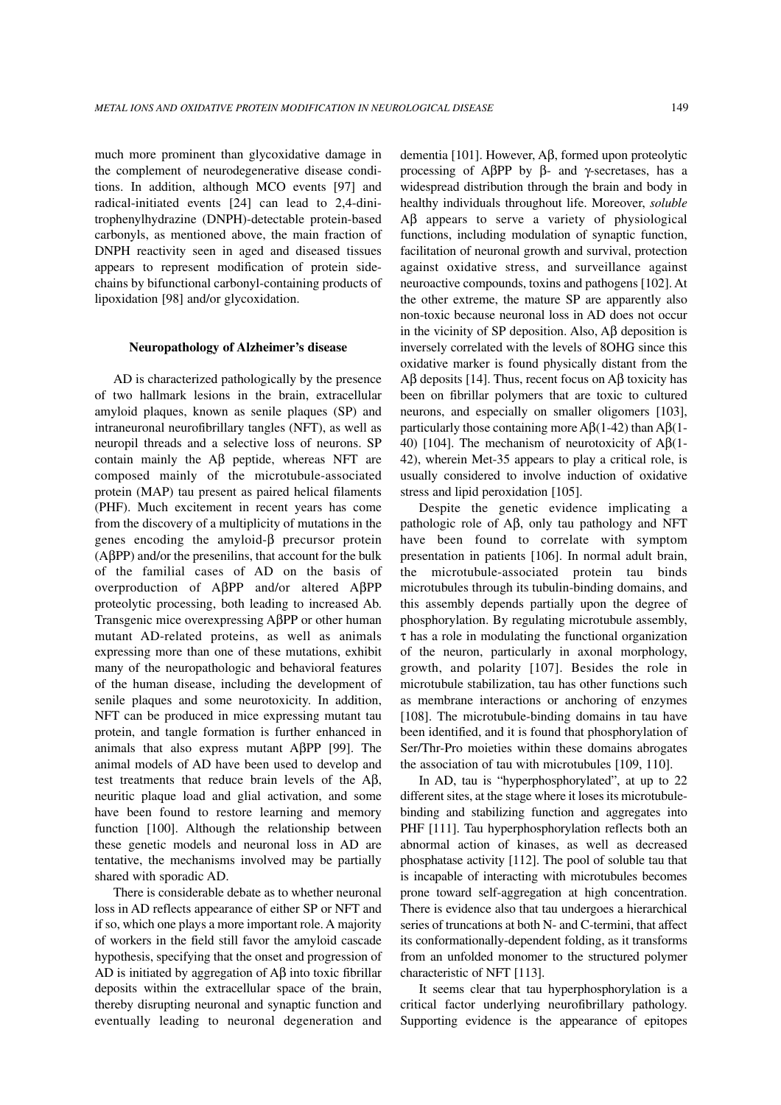much more prominent than glycoxidative damage in the complement of neurodegenerative disease conditions. In addition, although MCO events [97] and radical-initiated events [24] can lead to 2,4-dinitrophenylhydrazine (DNPH)-detectable protein-based carbonyls, as mentioned above, the main fraction of DNPH reactivity seen in aged and diseased tissues appears to represent modification of protein sidechains by bifunctional carbonyl-containing products of lipoxidation [98] and/or glycoxidation.

### **Neuropathology of Alzheimer's disease**

AD is characterized pathologically by the presence of two hallmark lesions in the brain, extracellular amyloid plaques, known as senile plaques (SP) and intraneuronal neurofibrillary tangles (NFT), as well as neuropil threads and a selective loss of neurons. SP contain mainly the Aβ peptide, whereas NFT are composed mainly of the microtubule-associated protein (MAP) tau present as paired helical filaments (PHF). Much excitement in recent years has come from the discovery of a multiplicity of mutations in the genes encoding the amyloid-β precursor protein  $(A\beta PP)$  and/or the presenilins, that account for the bulk of the familial cases of AD on the basis of overproduction of AβPP and/or altered AβPP proteolytic processing, both leading to increased Ab. Transgenic mice overexpressing AβPP or other human mutant AD-related proteins, as well as animals expressing more than one of these mutations, exhibit many of the neuropathologic and behavioral features of the human disease, including the development of senile plaques and some neurotoxicity. In addition, NFT can be produced in mice expressing mutant tau protein, and tangle formation is further enhanced in animals that also express mutant  $\text{A}\beta\text{PP}$  [99]. The animal models of AD have been used to develop and test treatments that reduce brain levels of the Aβ, neuritic plaque load and glial activation, and some have been found to restore learning and memory function [100]. Although the relationship between these genetic models and neuronal loss in AD are tentative, the mechanisms involved may be partially shared with sporadic AD.

There is considerable debate as to whether neuronal loss in AD reflects appearance of either SP or NFT and if so, which one plays a more important role. A majority of workers in the field still favor the amyloid cascade hypothesis, specifying that the onset and progression of AD is initiated by aggregation of  $\overrightarrow{AB}$  into toxic fibrillar deposits within the extracellular space of the brain, thereby disrupting neuronal and synaptic function and eventually leading to neuronal degeneration and dementia [101]. However, Aβ, formed upon proteolytic processing of AβPP by β- and γ-secretases, has a widespread distribution through the brain and body in healthy individuals throughout life. Moreover, *soluble* Aβ appears to serve a variety of physiological functions, including modulation of synaptic function, facilitation of neuronal growth and survival, protection against oxidative stress, and surveillance against neuroactive compounds, toxins and pathogens [102]. At the other extreme, the mature SP are apparently also non-toxic because neuronal loss in AD does not occur in the vicinity of SP deposition. Also, Aβ deposition is inversely correlated with the levels of 8OHG since this oxidative marker is found physically distant from the Aβ deposits [14]. Thus, recent focus on Aβ toxicity has been on fibrillar polymers that are toxic to cultured neurons, and especially on smaller oligomers [103], particularly those containing more  $\text{A}\beta(1-42)$  than  $\text{A}\beta(1-4)$ 40) [104]. The mechanism of neurotoxicity of  $A\beta(1-$ 42), wherein Met-35 appears to play a critical role, is usually considered to involve induction of oxidative stress and lipid peroxidation [105].

Despite the genetic evidence implicating a pathologic role of Aβ, only tau pathology and NFT have been found to correlate with symptom presentation in patients [106]. In normal adult brain, the microtubule-associated protein tau binds microtubules through its tubulin-binding domains, and this assembly depends partially upon the degree of phosphorylation. By regulating microtubule assembly,  $\tau$  has a role in modulating the functional organization of the neuron, particularly in axonal morphology, growth, and polarity [107]. Besides the role in microtubule stabilization, tau has other functions such as membrane interactions or anchoring of enzymes [108]. The microtubule-binding domains in tau have been identified, and it is found that phosphorylation of Ser/Thr-Pro moieties within these domains abrogates the association of tau with microtubules [109, 110].

In AD, tau is "hyperphosphorylated", at up to 22 different sites, at the stage where it loses its microtubulebinding and stabilizing function and aggregates into PHF [111]. Tau hyperphosphorylation reflects both an abnormal action of kinases, as well as decreased phosphatase activity [112]. The pool of soluble tau that is incapable of interacting with microtubules becomes prone toward self-aggregation at high concentration. There is evidence also that tau undergoes a hierarchical series of truncations at both N- and C-termini, that affect its conformationally-dependent folding, as it transforms from an unfolded monomer to the structured polymer characteristic of NFT [113].

It seems clear that tau hyperphosphorylation is a critical factor underlying neurofibrillary pathology. Supporting evidence is the appearance of epitopes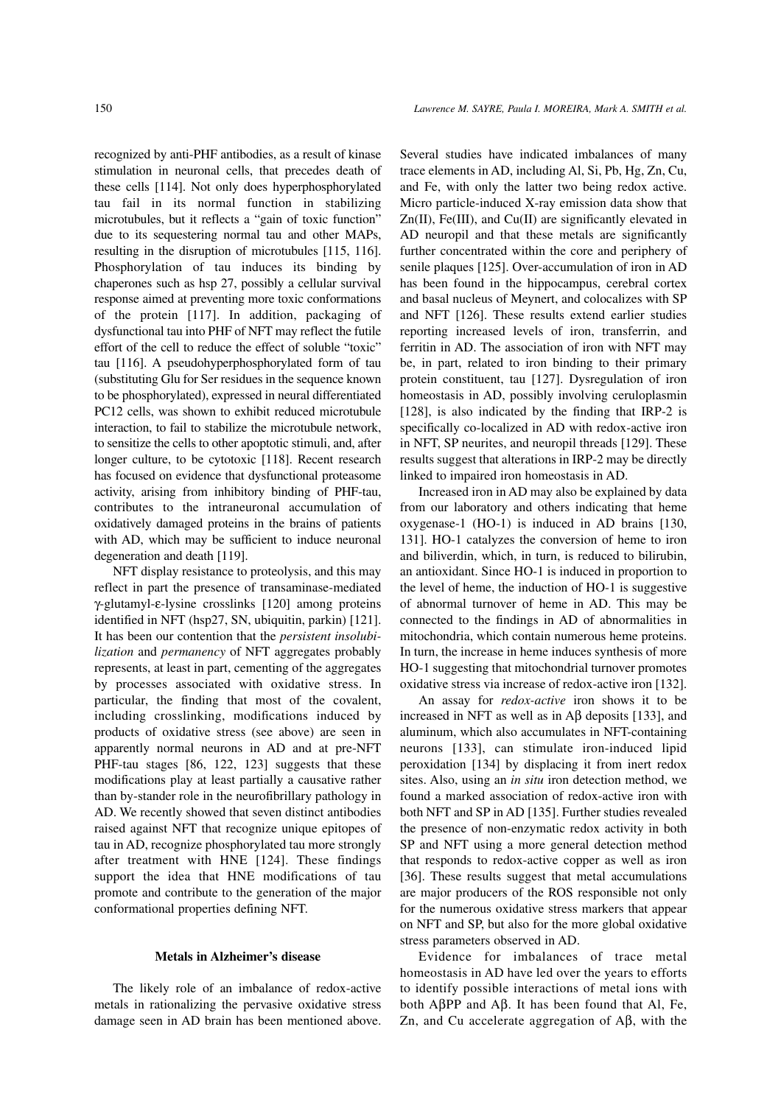recognized by anti-PHF antibodies, as a result of kinase stimulation in neuronal cells, that precedes death of these cells [114]. Not only does hyperphosphorylated tau fail in its normal function in stabilizing microtubules, but it reflects a "gain of toxic function" due to its sequestering normal tau and other MAPs, resulting in the disruption of microtubules [115, 116]. Phosphorylation of tau induces its binding by chaperones such as hsp 27, possibly a cellular survival response aimed at preventing more toxic conformations of the protein [117]. In addition, packaging of dysfunctional tau into PHF of NFT may reflect the futile effort of the cell to reduce the effect of soluble "toxic" tau [116]. A pseudohyperphosphorylated form of tau (substituting Glu for Ser residues in the sequence known to be phosphorylated), expressed in neural differentiated PC12 cells, was shown to exhibit reduced microtubule interaction, to fail to stabilize the microtubule network, to sensitize the cells to other apoptotic stimuli, and, after longer culture, to be cytotoxic [118]. Recent research has focused on evidence that dysfunctional proteasome activity, arising from inhibitory binding of PHF-tau, contributes to the intraneuronal accumulation of oxidatively damaged proteins in the brains of patients with AD, which may be sufficient to induce neuronal degeneration and death [119].

NFT display resistance to proteolysis, and this may reflect in part the presence of transaminase-mediated γ-glutamyl-ε-lysine crosslinks [120] among proteins identified in NFT (hsp27, SN, ubiquitin, parkin) [121]. It has been our contention that the *persistent insolubilization* and *permanency* of NFT aggregates probably represents, at least in part, cementing of the aggregates by processes associated with oxidative stress. In particular, the finding that most of the covalent, including crosslinking, modifications induced by products of oxidative stress (see above) are seen in apparently normal neurons in AD and at pre-NFT PHF-tau stages [86, 122, 123] suggests that these modifications play at least partially a causative rather than by-stander role in the neurofibrillary pathology in AD. We recently showed that seven distinct antibodies raised against NFT that recognize unique epitopes of tau in AD, recognize phosphorylated tau more strongly after treatment with HNE [124]. These findings support the idea that HNE modifications of tau promote and contribute to the generation of the major conformational properties defining NFT.

#### **Metals in Alzheimer's disease**

The likely role of an imbalance of redox-active metals in rationalizing the pervasive oxidative stress damage seen in AD brain has been mentioned above. Several studies have indicated imbalances of many trace elements in AD, including Al, Si, Pb, Hg, Zn, Cu, and Fe, with only the latter two being redox active. Micro particle-induced X-ray emission data show that  $Zn(II)$ , Fe(III), and Cu(II) are significantly elevated in AD neuropil and that these metals are significantly further concentrated within the core and periphery of senile plaques [125]. Over-accumulation of iron in AD has been found in the hippocampus, cerebral cortex and basal nucleus of Meynert, and colocalizes with SP and NFT [126]. These results extend earlier studies reporting increased levels of iron, transferrin, and ferritin in AD. The association of iron with NFT may be, in part, related to iron binding to their primary protein constituent, tau [127]. Dysregulation of iron homeostasis in AD, possibly involving ceruloplasmin [128], is also indicated by the finding that IRP-2 is specifically co-localized in AD with redox-active iron in NFT, SP neurites, and neuropil threads [129]. These results suggest that alterations in IRP-2 may be directly linked to impaired iron homeostasis in AD.

Increased iron in AD may also be explained by data from our laboratory and others indicating that heme oxygenase-1 (HO-1) is induced in AD brains [130, 131]. HO-1 catalyzes the conversion of heme to iron and biliverdin, which, in turn, is reduced to bilirubin, an antioxidant. Since HO-1 is induced in proportion to the level of heme, the induction of HO-1 is suggestive of abnormal turnover of heme in AD. This may be connected to the findings in AD of abnormalities in mitochondria, which contain numerous heme proteins. In turn, the increase in heme induces synthesis of more HO-1 suggesting that mitochondrial turnover promotes oxidative stress via increase of redox-active iron [132].

An assay for *redox-active* iron shows it to be increased in NFT as well as in Aβ deposits [133], and aluminum, which also accumulates in NFT-containing neurons [133], can stimulate iron-induced lipid peroxidation [134] by displacing it from inert redox sites. Also, using an *in situ* iron detection method, we found a marked association of redox-active iron with both NFT and SP in AD [135]. Further studies revealed the presence of non-enzymatic redox activity in both SP and NFT using a more general detection method that responds to redox-active copper as well as iron [36]. These results suggest that metal accumulations are major producers of the ROS responsible not only for the numerous oxidative stress markers that appear on NFT and SP, but also for the more global oxidative stress parameters observed in AD.

Evidence for imbalances of trace metal homeostasis in AD have led over the years to efforts to identify possible interactions of metal ions with both AβPP and Aβ. It has been found that Al, Fe, Zn, and Cu accelerate aggregation of Aβ, with the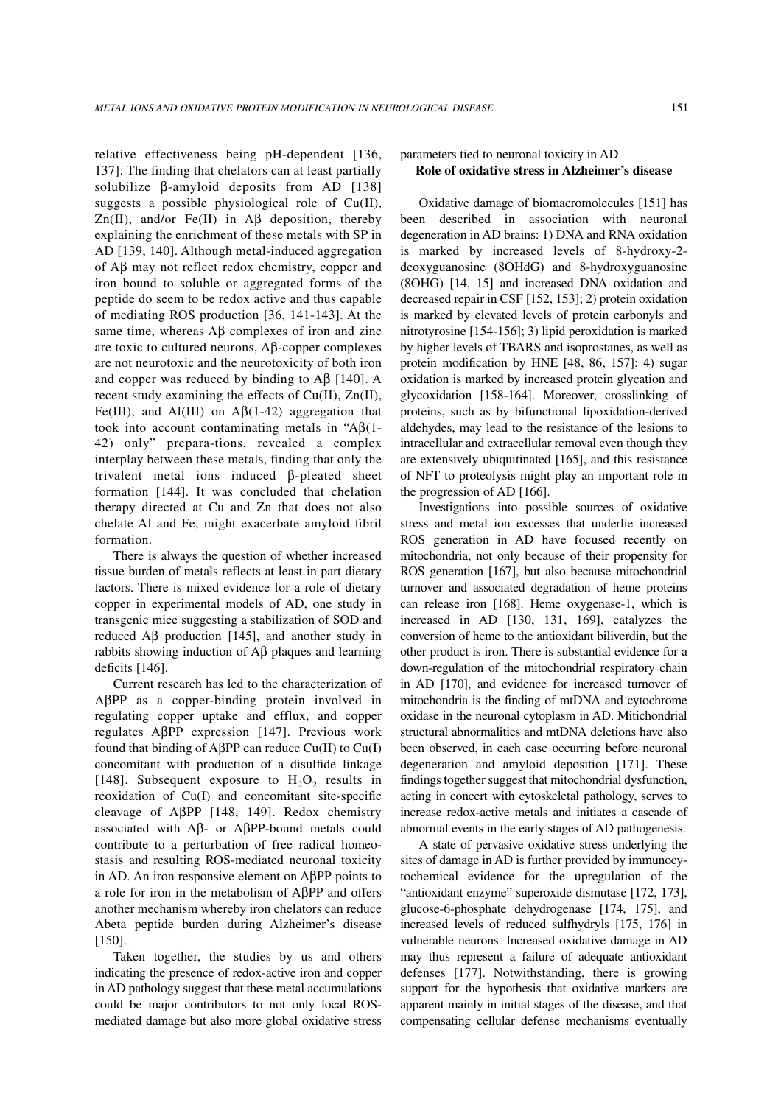relative effectiveness being pH-dependent [136, 137]. The finding that chelators can at least partially solubilize β-amyloid deposits from AD [138] suggests a possible physiological role of Cu(II), Zn(II), and/or Fe(II) in  $\mathbb{A}\beta$  deposition, thereby explaining the enrichment of these metals with SP in AD [139, 140]. Although metal-induced aggregation of Aβ may not reflect redox chemistry, copper and iron bound to soluble or aggregated forms of the peptide do seem to be redox active and thus capable of mediating ROS production [36, 141-143]. At the same time, whereas  $\mathbf{A}\mathbf{\beta}$  complexes of iron and zinc are toxic to cultured neurons, Aβ-copper complexes are not neurotoxic and the neurotoxicity of both iron and copper was reduced by binding to  $A\beta$  [140]. A recent study examining the effects of Cu(II), Zn(II), Fe(III), and Al(III) on  $\mathbf{A}\beta(1-42)$  aggregation that took into account contaminating metals in "Aβ(1- 42) only" prepara-tions, revealed a complex interplay between these metals, finding that only the trivalent metal ions induced β-pleated sheet formation [144]. It was concluded that chelation therapy directed at Cu and Zn that does not also chelate Al and Fe, might exacerbate amyloid fibril formation.

There is always the question of whether increased tissue burden of metals reflects at least in part dietary factors. There is mixed evidence for a role of dietary copper in experimental models of AD, one study in transgenic mice suggesting a stabilization of SOD and reduced  $\text{A}$ β production [145], and another study in rabbits showing induction of Aβ plaques and learning deficits [146].

Current research has led to the characterization of AβPP as a copper-binding protein involved in regulating copper uptake and efflux, and copper regulates AβPP expression [147]. Previous work found that binding of AβPP can reduce Cu(II) to Cu(I) concomitant with production of a disulfide linkage [148]. Subsequent exposure to  $H_2O_2$  results in reoxidation of Cu(I) and concomitant site-specific cleavage of AβPP [148, 149]. Redox chemistry associated with Aβ- or AβPP-bound metals could contribute to a perturbation of free radical homeostasis and resulting ROS-mediated neuronal toxicity in AD. An iron responsive element on AβPP points to a role for iron in the metabolism of AβPP and offers another mechanism whereby iron chelators can reduce Abeta peptide burden during Alzheimer's disease [150].

Taken together, the studies by us and others indicating the presence of redox-active iron and copper in AD pathology suggest that these metal accumulations could be major contributors to not only local ROSmediated damage but also more global oxidative stress

# parameters tied to neuronal toxicity in AD. **Role of oxidative stress in Alzheimer's disease**

Oxidative damage of biomacromolecules [151] has been described in association with neuronal degeneration in AD brains: 1) DNA and RNA oxidation is marked by increased levels of 8-hydroxy-2 deoxyguanosine (8OHdG) and 8-hydroxyguanosine (8OHG) [14, 15] and increased DNA oxidation and decreased repair in CSF [152, 153]; 2) protein oxidation is marked by elevated levels of protein carbonyls and nitrotyrosine [154-156]; 3) lipid peroxidation is marked by higher levels of TBARS and isoprostanes, as well as protein modification by HNE [48, 86, 157]; 4) sugar oxidation is marked by increased protein glycation and glycoxidation [158-164]. Moreover, crosslinking of proteins, such as by bifunctional lipoxidation-derived aldehydes, may lead to the resistance of the lesions to intracellular and extracellular removal even though they are extensively ubiquitinated [165], and this resistance of NFT to proteolysis might play an important role in the progression of AD [166].

Investigations into possible sources of oxidative stress and metal ion excesses that underlie increased ROS generation in AD have focused recently on mitochondria, not only because of their propensity for ROS generation [167], but also because mitochondrial turnover and associated degradation of heme proteins can release iron [168]. Heme oxygenase-1, which is increased in AD [130, 131, 169], catalyzes the conversion of heme to the antioxidant biliverdin, but the other product is iron. There is substantial evidence for a down-regulation of the mitochondrial respiratory chain in AD [170], and evidence for increased turnover of mitochondria is the finding of mtDNA and cytochrome oxidase in the neuronal cytoplasm in AD. Mitichondrial structural abnormalities and mtDNA deletions have also been observed, in each case occurring before neuronal degeneration and amyloid deposition [171]. These findings together suggest that mitochondrial dysfunction, acting in concert with cytoskeletal pathology, serves to increase redox-active metals and initiates a cascade of abnormal events in the early stages of AD pathogenesis.

A state of pervasive oxidative stress underlying the sites of damage in AD is further provided by immunocytochemical evidence for the upregulation of the "antioxidant enzyme" superoxide dismutase [172, 173], glucose-6-phosphate dehydrogenase [174, 175], and increased levels of reduced sulfhydryls [175, 176] in vulnerable neurons. Increased oxidative damage in AD may thus represent a failure of adequate antioxidant defenses [177]. Notwithstanding, there is growing support for the hypothesis that oxidative markers are apparent mainly in initial stages of the disease, and that compensating cellular defense mechanisms eventually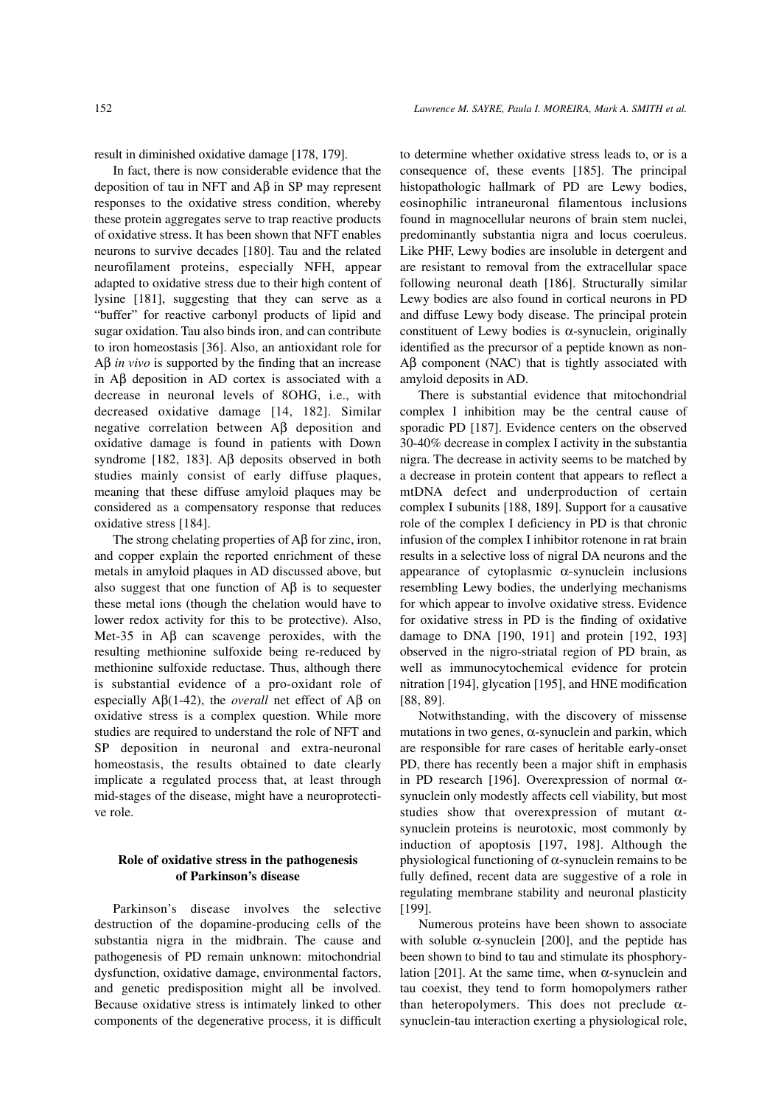result in diminished oxidative damage [178, 179].

In fact, there is now considerable evidence that the deposition of tau in NFT and Aβ in SP may represent responses to the oxidative stress condition, whereby these protein aggregates serve to trap reactive products of oxidative stress. It has been shown that NFT enables neurons to survive decades [180]. Tau and the related neurofilament proteins, especially NFH, appear adapted to oxidative stress due to their high content of lysine [181], suggesting that they can serve as a "buffer" for reactive carbonyl products of lipid and sugar oxidation. Tau also binds iron, and can contribute to iron homeostasis [36]. Also, an antioxidant role for Aβ *in vivo* is supported by the finding that an increase in Aβ deposition in AD cortex is associated with a decrease in neuronal levels of 8OHG, i.e., with decreased oxidative damage [14, 182]. Similar negative correlation between Aβ deposition and oxidative damage is found in patients with Down syndrome [182, 183]. Aβ deposits observed in both studies mainly consist of early diffuse plaques, meaning that these diffuse amyloid plaques may be considered as a compensatory response that reduces oxidative stress [184].

The strong chelating properties of  $A\beta$  for zinc, iron, and copper explain the reported enrichment of these metals in amyloid plaques in AD discussed above, but also suggest that one function of  $\overrightarrow{AB}$  is to sequester these metal ions (though the chelation would have to lower redox activity for this to be protective). Also, Met-35 in Aβ can scavenge peroxides, with the resulting methionine sulfoxide being re-reduced by methionine sulfoxide reductase. Thus, although there is substantial evidence of a pro-oxidant role of especially Aβ(1-42), the *overall* net effect of Aβ on oxidative stress is a complex question. While more studies are required to understand the role of NFT and SP deposition in neuronal and extra-neuronal homeostasis, the results obtained to date clearly implicate a regulated process that, at least through mid-stages of the disease, might have a neuroprotective role.

## **Role of oxidative stress in the pathogenesis of Parkinson's disease**

Parkinson's disease involves the selective destruction of the dopamine-producing cells of the substantia nigra in the midbrain. The cause and pathogenesis of PD remain unknown: mitochondrial dysfunction, oxidative damage, environmental factors, and genetic predisposition might all be involved. Because oxidative stress is intimately linked to other components of the degenerative process, it is difficult to determine whether oxidative stress leads to, or is a consequence of, these events [185]. The principal histopathologic hallmark of PD are Lewy bodies, eosinophilic intraneuronal filamentous inclusions found in magnocellular neurons of brain stem nuclei, predominantly substantia nigra and locus coeruleus. Like PHF, Lewy bodies are insoluble in detergent and are resistant to removal from the extracellular space following neuronal death [186]. Structurally similar Lewy bodies are also found in cortical neurons in PD and diffuse Lewy body disease. The principal protein constituent of Lewy bodies is  $\alpha$ -synuclein, originally identified as the precursor of a peptide known as non-Aβ component (NAC) that is tightly associated with amyloid deposits in AD.

There is substantial evidence that mitochondrial complex I inhibition may be the central cause of sporadic PD [187]. Evidence centers on the observed 30-40% decrease in complex I activity in the substantia nigra. The decrease in activity seems to be matched by a decrease in protein content that appears to reflect a mtDNA defect and underproduction of certain complex I subunits [188, 189]. Support for a causative role of the complex I deficiency in PD is that chronic infusion of the complex I inhibitor rotenone in rat brain results in a selective loss of nigral DA neurons and the appearance of cytoplasmic  $\alpha$ -synuclein inclusions resembling Lewy bodies, the underlying mechanisms for which appear to involve oxidative stress. Evidence for oxidative stress in PD is the finding of oxidative damage to DNA [190, 191] and protein [192, 193] observed in the nigro-striatal region of PD brain, as well as immunocytochemical evidence for protein nitration [194], glycation [195], and HNE modification [88, 89].

Notwithstanding, with the discovery of missense mutations in two genes,  $\alpha$ -synuclein and parkin, which are responsible for rare cases of heritable early-onset PD, there has recently been a major shift in emphasis in PD research [196]. Overexpression of normal  $\alpha$ synuclein only modestly affects cell viability, but most studies show that overexpression of mutant  $\alpha$ synuclein proteins is neurotoxic, most commonly by induction of apoptosis [197, 198]. Although the physiological functioning of  $\alpha$ -synuclein remains to be fully defined, recent data are suggestive of a role in regulating membrane stability and neuronal plasticity [199].

Numerous proteins have been shown to associate with soluble  $\alpha$ -synuclein [200], and the peptide has been shown to bind to tau and stimulate its phosphorylation [201]. At the same time, when  $\alpha$ -synuclein and tau coexist, they tend to form homopolymers rather than heteropolymers. This does not preclude  $\alpha$ synuclein-tau interaction exerting a physiological role,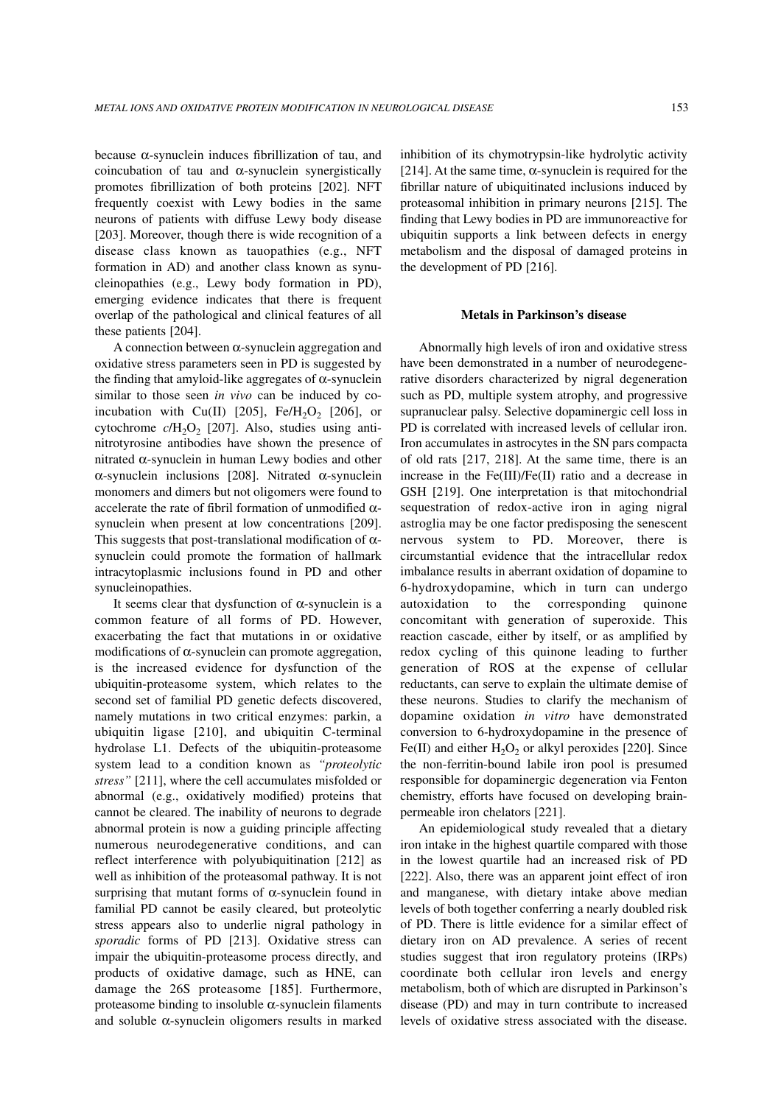because α-synuclein induces fibrillization of tau, and coincubation of tau and  $\alpha$ -synuclein synergistically promotes fibrillization of both proteins [202]. NFT frequently coexist with Lewy bodies in the same neurons of patients with diffuse Lewy body disease [203]. Moreover, though there is wide recognition of a disease class known as tauopathies (e.g., NFT formation in AD) and another class known as synucleinopathies (e.g., Lewy body formation in PD), emerging evidence indicates that there is frequent overlap of the pathological and clinical features of all these patients [204].

A connection between α-synuclein aggregation and oxidative stress parameters seen in PD is suggested by the finding that amyloid-like aggregates of  $\alpha$ -synuclein similar to those seen *in vivo* can be induced by coincubation with Cu(II)  $[205]$ , Fe/H<sub>2</sub>O<sub>2</sub>  $[206]$ , or cytochrome  $c/H_2O_2$  [207]. Also, studies using antinitrotyrosine antibodies have shown the presence of nitrated α-synuclein in human Lewy bodies and other α-synuclein inclusions [208]. Nitrated α-synuclein monomers and dimers but not oligomers were found to accelerate the rate of fibril formation of unmodified  $\alpha$ synuclein when present at low concentrations [209]. This suggests that post-translational modification of  $\alpha$ synuclein could promote the formation of hallmark intracytoplasmic inclusions found in PD and other synucleinopathies.

It seems clear that dysfunction of  $\alpha$ -synuclein is a common feature of all forms of PD. However, exacerbating the fact that mutations in or oxidative modifications of  $\alpha$ -synuclein can promote aggregation, is the increased evidence for dysfunction of the ubiquitin-proteasome system, which relates to the second set of familial PD genetic defects discovered, namely mutations in two critical enzymes: parkin, a ubiquitin ligase [210], and ubiquitin C-terminal hydrolase L1. Defects of the ubiquitin-proteasome system lead to a condition known as *"proteolytic stress"* [211], where the cell accumulates misfolded or abnormal (e.g., oxidatively modified) proteins that cannot be cleared. The inability of neurons to degrade abnormal protein is now a guiding principle affecting numerous neurodegenerative conditions, and can reflect interference with polyubiquitination [212] as well as inhibition of the proteasomal pathway. It is not surprising that mutant forms of  $\alpha$ -synuclein found in familial PD cannot be easily cleared, but proteolytic stress appears also to underlie nigral pathology in *sporadic* forms of PD [213]. Oxidative stress can impair the ubiquitin-proteasome process directly, and products of oxidative damage, such as HNE, can damage the 26S proteasome [185]. Furthermore, proteasome binding to insoluble α-synuclein filaments and soluble α-synuclein oligomers results in marked inhibition of its chymotrypsin-like hydrolytic activity [214]. At the same time,  $\alpha$ -synuclein is required for the fibrillar nature of ubiquitinated inclusions induced by proteasomal inhibition in primary neurons [215]. The finding that Lewy bodies in PD are immunoreactive for ubiquitin supports a link between defects in energy metabolism and the disposal of damaged proteins in the development of PD [216].

#### **Metals in Parkinson's disease**

Abnormally high levels of iron and oxidative stress have been demonstrated in a number of neurodegenerative disorders characterized by nigral degeneration such as PD, multiple system atrophy, and progressive supranuclear palsy. Selective dopaminergic cell loss in PD is correlated with increased levels of cellular iron. Iron accumulates in astrocytes in the SN pars compacta of old rats [217, 218]. At the same time, there is an increase in the Fe(III)/Fe(II) ratio and a decrease in GSH [219]. One interpretation is that mitochondrial sequestration of redox-active iron in aging nigral astroglia may be one factor predisposing the senescent nervous system to PD. Moreover, there is circumstantial evidence that the intracellular redox imbalance results in aberrant oxidation of dopamine to 6-hydroxydopamine, which in turn can undergo autoxidation to the corresponding quinone concomitant with generation of superoxide. This reaction cascade, either by itself, or as amplified by redox cycling of this quinone leading to further generation of ROS at the expense of cellular reductants, can serve to explain the ultimate demise of these neurons. Studies to clarify the mechanism of dopamine oxidation *in vitro* have demonstrated conversion to 6-hydroxydopamine in the presence of Fe(II) and either  $H_2O_2$  or alkyl peroxides [220]. Since the non-ferritin-bound labile iron pool is presumed responsible for dopaminergic degeneration via Fenton chemistry, efforts have focused on developing brainpermeable iron chelators [221].

An epidemiological study revealed that a dietary iron intake in the highest quartile compared with those in the lowest quartile had an increased risk of PD [222]. Also, there was an apparent joint effect of iron and manganese, with dietary intake above median levels of both together conferring a nearly doubled risk of PD. There is little evidence for a similar effect of dietary iron on AD prevalence. A series of recent studies suggest that iron regulatory proteins (IRPs) coordinate both cellular iron levels and energy metabolism, both of which are disrupted in Parkinson's disease (PD) and may in turn contribute to increased levels of oxidative stress associated with the disease.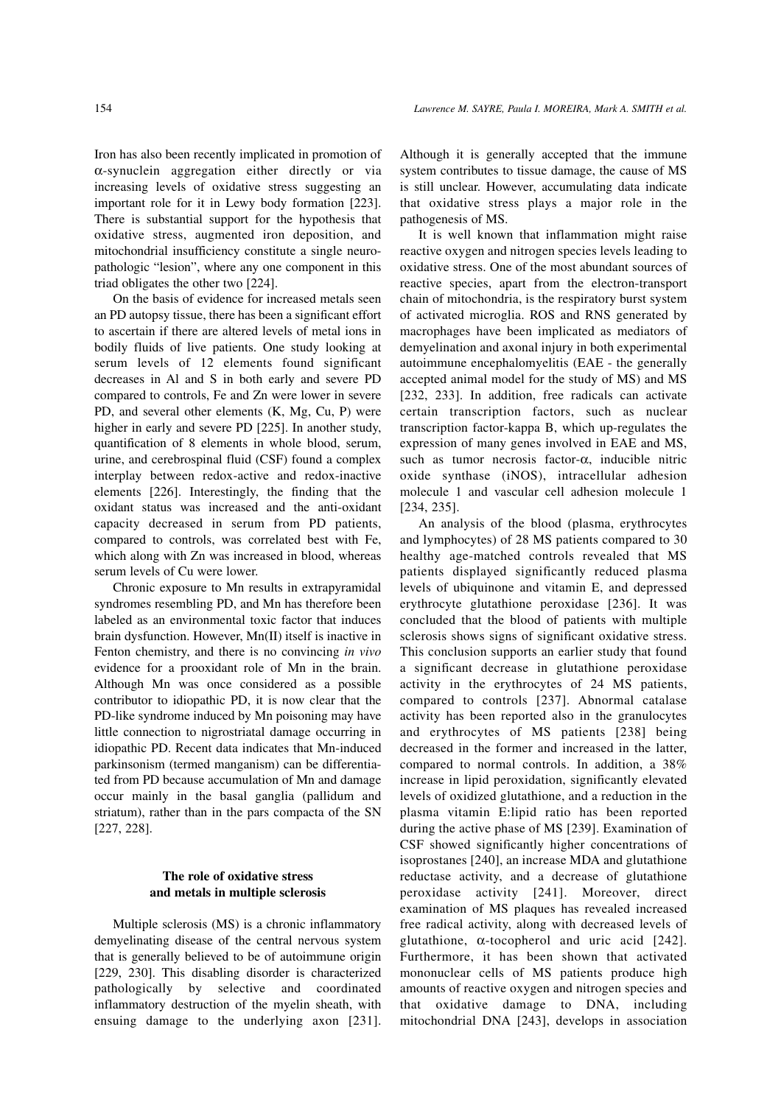Iron has also been recently implicated in promotion of α-synuclein aggregation either directly or via increasing levels of oxidative stress suggesting an important role for it in Lewy body formation [223]. There is substantial support for the hypothesis that oxidative stress, augmented iron deposition, and mitochondrial insufficiency constitute a single neuropathologic "lesion", where any one component in this triad obligates the other two [224].

On the basis of evidence for increased metals seen an PD autopsy tissue, there has been a significant effort to ascertain if there are altered levels of metal ions in bodily fluids of live patients. One study looking at serum levels of 12 elements found significant decreases in Al and S in both early and severe PD compared to controls, Fe and Zn were lower in severe PD, and several other elements (K, Mg, Cu, P) were higher in early and severe PD [225]. In another study, quantification of 8 elements in whole blood, serum, urine, and cerebrospinal fluid (CSF) found a complex interplay between redox-active and redox-inactive elements [226]. Interestingly, the finding that the oxidant status was increased and the anti-oxidant capacity decreased in serum from PD patients, compared to controls, was correlated best with Fe, which along with Zn was increased in blood, whereas serum levels of Cu were lower.

Chronic exposure to Mn results in extrapyramidal syndromes resembling PD, and Mn has therefore been labeled as an environmental toxic factor that induces brain dysfunction. However, Mn(II) itself is inactive in Fenton chemistry, and there is no convincing *in vivo* evidence for a prooxidant role of Mn in the brain. Although Mn was once considered as a possible contributor to idiopathic PD, it is now clear that the PD-like syndrome induced by Mn poisoning may have little connection to nigrostriatal damage occurring in idiopathic PD. Recent data indicates that Mn-induced parkinsonism (termed manganism) can be differentiated from PD because accumulation of Mn and damage occur mainly in the basal ganglia (pallidum and striatum), rather than in the pars compacta of the SN [227, 228].

### **The role of oxidative stress and metals in multiple sclerosis**

Multiple sclerosis (MS) is a chronic inflammatory demyelinating disease of the central nervous system that is generally believed to be of autoimmune origin [229, 230]. This disabling disorder is characterized pathologically by selective and coordinated inflammatory destruction of the myelin sheath, with ensuing damage to the underlying axon [231].

Although it is generally accepted that the immune system contributes to tissue damage, the cause of MS is still unclear. However, accumulating data indicate that oxidative stress plays a major role in the pathogenesis of MS.

It is well known that inflammation might raise reactive oxygen and nitrogen species levels leading to oxidative stress. One of the most abundant sources of reactive species, apart from the electron-transport chain of mitochondria, is the respiratory burst system of activated microglia. ROS and RNS generated by macrophages have been implicated as mediators of demyelination and axonal injury in both experimental autoimmune encephalomyelitis (EAE - the generally accepted animal model for the study of MS) and MS [232, 233]. In addition, free radicals can activate certain transcription factors, such as nuclear transcription factor-kappa B, which up-regulates the expression of many genes involved in EAE and MS, such as tumor necrosis factor-α, inducible nitric oxide synthase (iNOS), intracellular adhesion molecule 1 and vascular cell adhesion molecule 1 [234, 235].

An analysis of the blood (plasma, erythrocytes and lymphocytes) of 28 MS patients compared to 30 healthy age-matched controls revealed that MS patients displayed significantly reduced plasma levels of ubiquinone and vitamin E, and depressed erythrocyte glutathione peroxidase [236]. It was concluded that the blood of patients with multiple sclerosis shows signs of significant oxidative stress. This conclusion supports an earlier study that found a significant decrease in glutathione peroxidase activity in the erythrocytes of 24 MS patients, compared to controls [237]. Abnormal catalase activity has been reported also in the granulocytes and erythrocytes of MS patients [238] being decreased in the former and increased in the latter, compared to normal controls. In addition, a 38% increase in lipid peroxidation, significantly elevated levels of oxidized glutathione, and a reduction in the plasma vitamin E:lipid ratio has been reported during the active phase of MS [239]. Examination of CSF showed significantly higher concentrations of isoprostanes [240], an increase MDA and glutathione reductase activity, and a decrease of glutathione peroxidase activity [241]. Moreover, direct examination of MS plaques has revealed increased free radical activity, along with decreased levels of glutathione,  $\alpha$ -tocopherol and uric acid [242]. Furthermore, it has been shown that activated mononuclear cells of MS patients produce high amounts of reactive oxygen and nitrogen species and that oxidative damage to DNA, including mitochondrial DNA [243], develops in association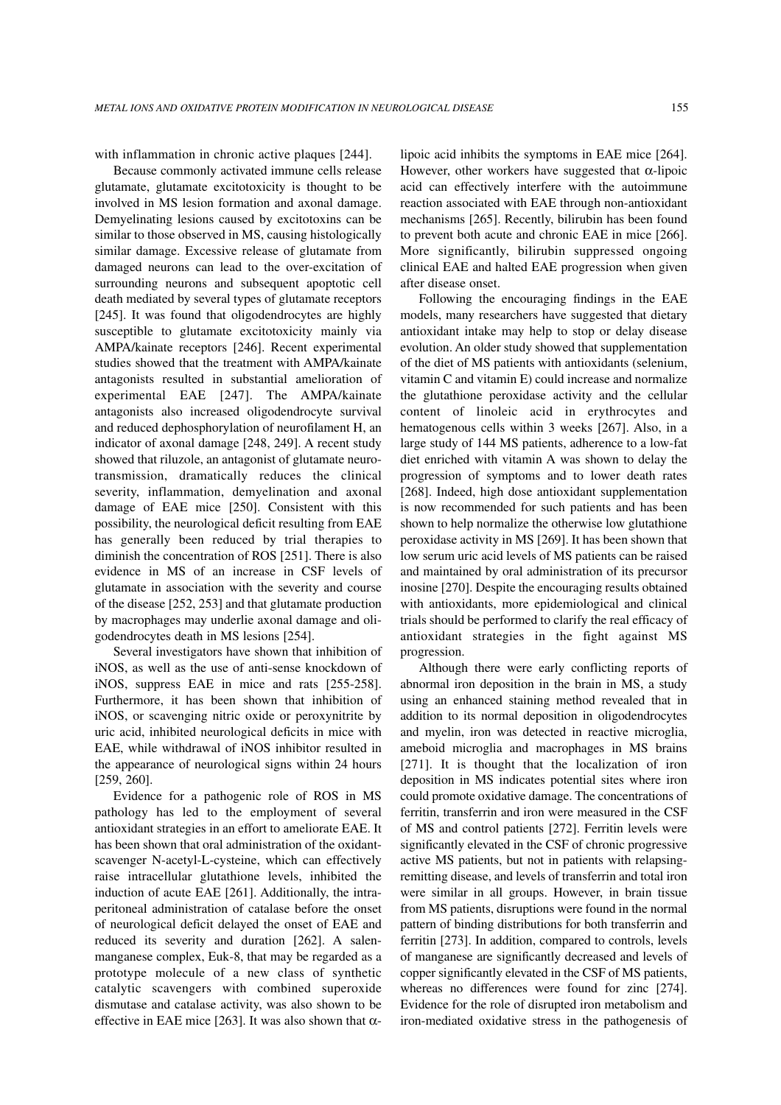with inflammation in chronic active plaques [244].

Because commonly activated immune cells release glutamate, glutamate excitotoxicity is thought to be involved in MS lesion formation and axonal damage. Demyelinating lesions caused by excitotoxins can be similar to those observed in MS, causing histologically similar damage. Excessive release of glutamate from damaged neurons can lead to the over-excitation of surrounding neurons and subsequent apoptotic cell death mediated by several types of glutamate receptors [245]. It was found that oligodendrocytes are highly susceptible to glutamate excitotoxicity mainly via AMPA/kainate receptors [246]. Recent experimental studies showed that the treatment with AMPA/kainate antagonists resulted in substantial amelioration of experimental EAE [247]. The AMPA/kainate antagonists also increased oligodendrocyte survival and reduced dephosphorylation of neurofilament H, an indicator of axonal damage [248, 249]. A recent study showed that riluzole, an antagonist of glutamate neurotransmission, dramatically reduces the clinical severity, inflammation, demyelination and axonal damage of EAE mice [250]. Consistent with this possibility, the neurological deficit resulting from EAE has generally been reduced by trial therapies to diminish the concentration of ROS [251]. There is also evidence in MS of an increase in CSF levels of glutamate in association with the severity and course of the disease [252, 253] and that glutamate production by macrophages may underlie axonal damage and oligodendrocytes death in MS lesions [254].

Several investigators have shown that inhibition of iNOS, as well as the use of anti-sense knockdown of iNOS, suppress EAE in mice and rats [255-258]. Furthermore, it has been shown that inhibition of iNOS, or scavenging nitric oxide or peroxynitrite by uric acid, inhibited neurological deficits in mice with EAE, while withdrawal of iNOS inhibitor resulted in the appearance of neurological signs within 24 hours [259, 260].

Evidence for a pathogenic role of ROS in MS pathology has led to the employment of several antioxidant strategies in an effort to ameliorate EAE. It has been shown that oral administration of the oxidantscavenger N-acetyl-L-cysteine, which can effectively raise intracellular glutathione levels, inhibited the induction of acute EAE [261]. Additionally, the intraperitoneal administration of catalase before the onset of neurological deficit delayed the onset of EAE and reduced its severity and duration [262]. A salenmanganese complex, Euk-8, that may be regarded as a prototype molecule of a new class of synthetic catalytic scavengers with combined superoxide dismutase and catalase activity, was also shown to be effective in EAE mice [263]. It was also shown that  $\alpha$ - lipoic acid inhibits the symptoms in EAE mice [264]. However, other workers have suggested that  $\alpha$ -lipoic acid can effectively interfere with the autoimmune reaction associated with EAE through non-antioxidant mechanisms [265]. Recently, bilirubin has been found to prevent both acute and chronic EAE in mice [266]. More significantly, bilirubin suppressed ongoing clinical EAE and halted EAE progression when given after disease onset.

Following the encouraging findings in the EAE models, many researchers have suggested that dietary antioxidant intake may help to stop or delay disease evolution. An older study showed that supplementation of the diet of MS patients with antioxidants (selenium, vitamin C and vitamin E) could increase and normalize the glutathione peroxidase activity and the cellular content of linoleic acid in erythrocytes and hematogenous cells within 3 weeks [267]. Also, in a large study of 144 MS patients, adherence to a low-fat diet enriched with vitamin A was shown to delay the progression of symptoms and to lower death rates [268]. Indeed, high dose antioxidant supplementation is now recommended for such patients and has been shown to help normalize the otherwise low glutathione peroxidase activity in MS [269]. It has been shown that low serum uric acid levels of MS patients can be raised and maintained by oral administration of its precursor inosine [270]. Despite the encouraging results obtained with antioxidants, more epidemiological and clinical trials should be performed to clarify the real efficacy of antioxidant strategies in the fight against MS progression.

Although there were early conflicting reports of abnormal iron deposition in the brain in MS, a study using an enhanced staining method revealed that in addition to its normal deposition in oligodendrocytes and myelin, iron was detected in reactive microglia, ameboid microglia and macrophages in MS brains [271]. It is thought that the localization of iron deposition in MS indicates potential sites where iron could promote oxidative damage. The concentrations of ferritin, transferrin and iron were measured in the CSF of MS and control patients [272]. Ferritin levels were significantly elevated in the CSF of chronic progressive active MS patients, but not in patients with relapsingremitting disease, and levels of transferrin and total iron were similar in all groups. However, in brain tissue from MS patients, disruptions were found in the normal pattern of binding distributions for both transferrin and ferritin [273]. In addition, compared to controls, levels of manganese are significantly decreased and levels of copper significantly elevated in the CSF of MS patients, whereas no differences were found for zinc [274]. Evidence for the role of disrupted iron metabolism and iron-mediated oxidative stress in the pathogenesis of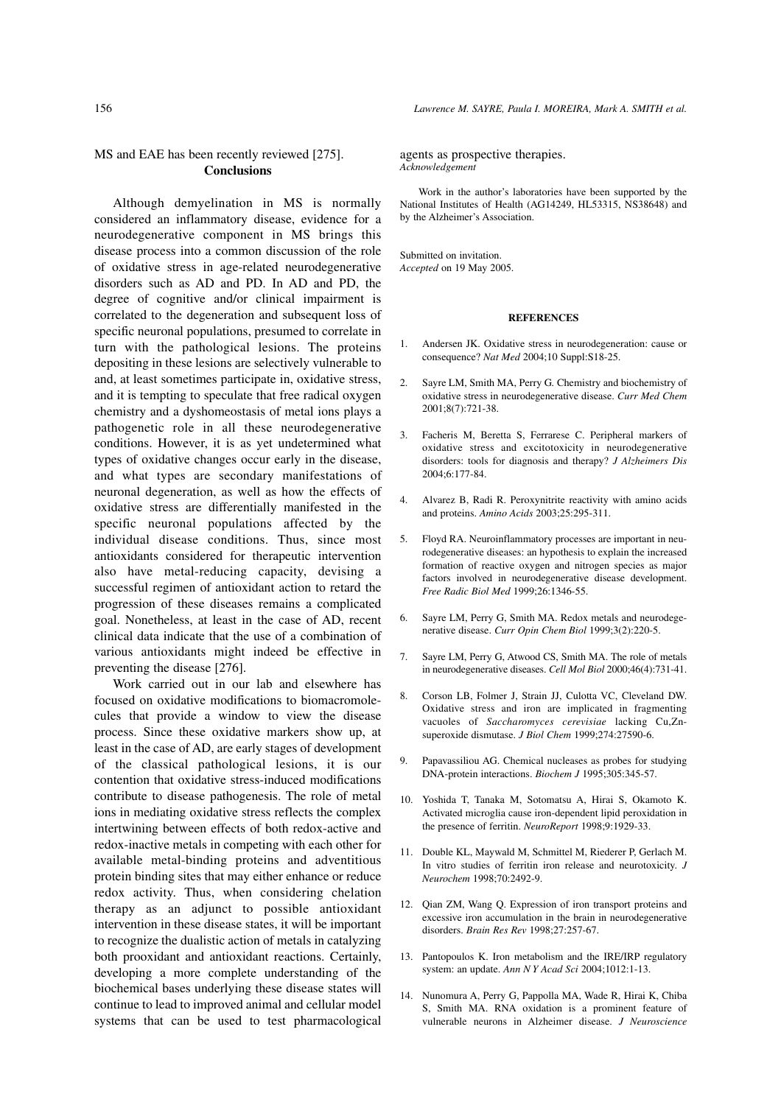# MS and EAE has been recently reviewed [275]. **Conclusions**

Although demyelination in MS is normally considered an inflammatory disease, evidence for a neurodegenerative component in MS brings this disease process into a common discussion of the role of oxidative stress in age-related neurodegenerative disorders such as AD and PD. In AD and PD, the degree of cognitive and/or clinical impairment is correlated to the degeneration and subsequent loss of specific neuronal populations, presumed to correlate in turn with the pathological lesions. The proteins depositing in these lesions are selectively vulnerable to and, at least sometimes participate in, oxidative stress, and it is tempting to speculate that free radical oxygen chemistry and a dyshomeostasis of metal ions plays a pathogenetic role in all these neurodegenerative conditions. However, it is as yet undetermined what types of oxidative changes occur early in the disease, and what types are secondary manifestations of neuronal degeneration, as well as how the effects of oxidative stress are differentially manifested in the specific neuronal populations affected by the individual disease conditions. Thus, since most antioxidants considered for therapeutic intervention also have metal-reducing capacity, devising a successful regimen of antioxidant action to retard the progression of these diseases remains a complicated goal. Nonetheless, at least in the case of AD, recent clinical data indicate that the use of a combination of various antioxidants might indeed be effective in preventing the disease [276].

Work carried out in our lab and elsewhere has focused on oxidative modifications to biomacromolecules that provide a window to view the disease process. Since these oxidative markers show up, at least in the case of AD, are early stages of development of the classical pathological lesions, it is our contention that oxidative stress-induced modifications contribute to disease pathogenesis. The role of metal ions in mediating oxidative stress reflects the complex intertwining between effects of both redox-active and redox-inactive metals in competing with each other for available metal-binding proteins and adventitious protein binding sites that may either enhance or reduce redox activity. Thus, when considering chelation therapy as an adjunct to possible antioxidant intervention in these disease states, it will be important to recognize the dualistic action of metals in catalyzing both prooxidant and antioxidant reactions. Certainly, developing a more complete understanding of the biochemical bases underlying these disease states will continue to lead to improved animal and cellular model systems that can be used to test pharmacological

agents as prospective therapies. *Acknowledgement*

Work in the author's laboratories have been supported by the National Institutes of Health (AG14249, HL53315, NS38648) and by the Alzheimer's Association.

Submitted on invitation. *Accepted* on 19 May 2005.

#### **REFERENCES**

- 1. Andersen JK. Oxidative stress in neurodegeneration: cause or consequence? *Nat Med* 2004;10 Suppl:S18-25.
- 2. Sayre LM, Smith MA, Perry G*.* Chemistry and biochemistry of oxidative stress in neurodegenerative disease. *Curr Med Chem* 2001;8(7):721-38.
- 3. Facheris M, Beretta S, Ferrarese C. Peripheral markers of oxidative stress and excitotoxicity in neurodegenerative disorders: tools for diagnosis and therapy? *J Alzheimers Dis* 2004;6:177-84.
- 4. Alvarez B, Radi R. Peroxynitrite reactivity with amino acids and proteins. *Amino Acids* 2003;25:295-311.
- 5. Floyd RA. Neuroinflammatory processes are important in neurodegenerative diseases: an hypothesis to explain the increased formation of reactive oxygen and nitrogen species as major factors involved in neurodegenerative disease development. *Free Radic Biol Med* 1999;26:1346-55.
- 6. Sayre LM, Perry G, Smith MA. Redox metals and neurodegenerative disease. *Curr Opin Chem Biol* 1999;3(2):220-5.
- 7. Sayre LM, Perry G, Atwood CS, Smith MA. The role of metals in neurodegenerative diseases. *Cell Mol Biol* 2000;46(4):731-41.
- 8. Corson LB, Folmer J, Strain JJ, Culotta VC, Cleveland DW. Oxidative stress and iron are implicated in fragmenting vacuoles of *Saccharomyces cerevisiae* lacking Cu,Znsuperoxide dismutase. *J Biol Chem* 1999;274:27590-6.
- 9. Papavassiliou AG. Chemical nucleases as probes for studying DNA-protein interactions. *Biochem J* 1995;305:345-57.
- 10. Yoshida T, Tanaka M, Sotomatsu A, Hirai S, Okamoto K. Activated microglia cause iron-dependent lipid peroxidation in the presence of ferritin. *NeuroReport* 1998;9:1929-33.
- 11. Double KL, Maywald M, Schmittel M, Riederer P, Gerlach M. In vitro studies of ferritin iron release and neurotoxicity. *J Neurochem* 1998;70:2492-9.
- 12. Qian ZM, Wang Q. Expression of iron transport proteins and excessive iron accumulation in the brain in neurodegenerative disorders. *Brain Res Rev* 1998;27:257-67.
- 13. Pantopoulos K. Iron metabolism and the IRE/IRP regulatory system: an update. *Ann N Y Acad Sci* 2004;1012:1-13.
- 14. Nunomura A, Perry G, Pappolla MA, Wade R, Hirai K, Chiba S, Smith MA. RNA oxidation is a prominent feature of vulnerable neurons in Alzheimer disease. *J Neuroscience*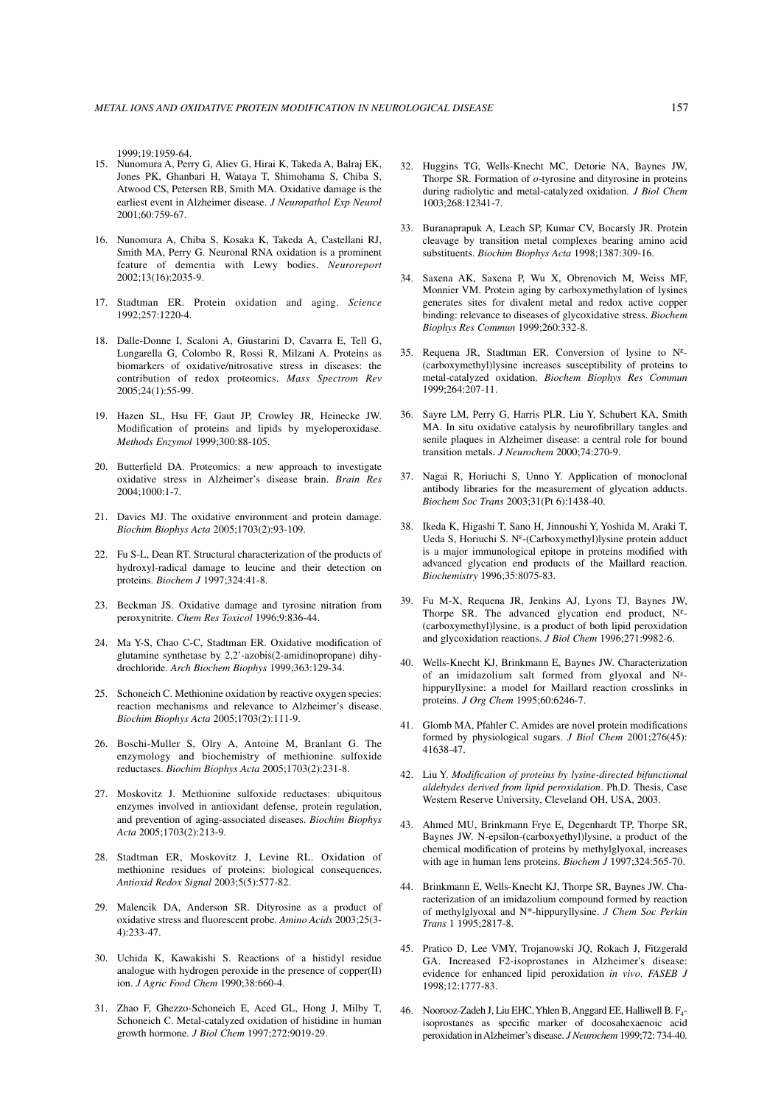1999;19:1959-64.

- 15. Nunomura A, Perry G, Aliev G, Hirai K, Takeda A, Balraj EK, Jones PK, Ghanbari H, Wataya T, Shimohama S, Chiba S, Atwood CS, Petersen RB, Smith MA. Oxidative damage is the earliest event in Alzheimer disease. *J Neuropathol Exp Neurol* 2001;60:759-67.
- 16. Nunomura A, Chiba S, Kosaka K, Takeda A, Castellani RJ, Smith MA, Perry G. Neuronal RNA oxidation is a prominent feature of dementia with Lewy bodies. *Neuroreport* 2002;13(16):2035-9.
- 17. Stadtman ER. Protein oxidation and aging. *Science* 1992;257:1220-4.
- 18. Dalle-Donne I, Scaloni A, Giustarini D, Cavarra E, Tell G, Lungarella G, Colombo R, Rossi R, Milzani A. Proteins as biomarkers of oxidative/nitrosative stress in diseases: the contribution of redox proteomics. *Mass Spectrom Rev* 2005;24(1):55-99.
- 19. Hazen SL, Hsu FF, Gaut JP, Crowley JR, Heinecke JW. Modification of proteins and lipids by myeloperoxidase*. Methods Enzymol* 1999;300:88-105.
- 20. Butterfield DA. Proteomics: a new approach to investigate oxidative stress in Alzheimer's disease brain. *Brain Res* 2004;1000:1-7.
- 21. Davies MJ. The oxidative environment and protein damage. *Biochim Biophys Acta* 2005;1703(2):93-109.
- 22. Fu S-L, Dean RT. Structural characterization of the products of hydroxyl-radical damage to leucine and their detection on proteins. *Biochem J* 1997;324:41-8.
- 23. Beckman JS. Oxidative damage and tyrosine nitration from peroxynitrite. *Chem Res Toxicol* 1996;9:836-44.
- 24. Ma Y-S, Chao C-C, Stadtman ER. Oxidative modification of glutamine synthetase by 2,2'-azobis(2-amidinopropane) dihydrochloride. *Arch Biochem Biophys* 1999;363:129-34.
- 25. Schoneich C. Methionine oxidation by reactive oxygen species: reaction mechanisms and relevance to Alzheimer's disease. *Biochim Biophys Acta* 2005;1703(2):111-9.
- 26. Boschi-Muller S, Olry A, Antoine M, Branlant G. The enzymology and biochemistry of methionine sulfoxide reductases. *Biochim Biophys Acta* 2005;1703(2):231-8.
- 27. Moskovitz J. Methionine sulfoxide reductases: ubiquitous enzymes involved in antioxidant defense, protein regulation, and prevention of aging-associated diseases. *Biochim Biophys Acta* 2005;1703(2):213-9.
- 28. Stadtman ER, Moskovitz J, Levine RL. Oxidation of methionine residues of proteins: biological consequences. *Antioxid Redox Signal* 2003;5(5):577-82.
- 29. Malencik DA, Anderson SR. Dityrosine as a product of oxidative stress and fluorescent probe. *Amino Acids* 2003;25(3- 4):233-47.
- 30. Uchida K, Kawakishi S. Reactions of a histidyl residue analogue with hydrogen peroxide in the presence of copper(II) ion. *J Agric Food Chem* 1990;38:660-4.
- 31. Zhao F, Ghezzo-Schoneich E, Aced GL, Hong J, Milby T, Schoneich C. Metal-catalyzed oxidation of histidine in human growth hormone. *J Biol Chem* 1997;272:9019-29.
- 32. Huggins TG, Wells-Knecht MC, Detorie NA, Baynes JW, Thorpe SR. Formation of *o*-tyrosine and dityrosine in proteins during radiolytic and metal-catalyzed oxidation. *J Biol Chem* 1003;268:12341-7.
- 33. Buranaprapuk A, Leach SP, Kumar CV, Bocarsly JR. Protein cleavage by transition metal complexes bearing amino acid substituents. *Biochim Biophys Acta* 1998;1387:309-16.
- 34. Saxena AK, Saxena P, Wu X, Obrenovich M, Weiss MF, Monnier VM. Protein aging by carboxymethylation of lysines generates sites for divalent metal and redox active copper binding: relevance to diseases of glycoxidative stress. *Biochem Biophys Res Commun* 1999;260:332-8.
- 35. Requena JR, Stadtman ER. Conversion of lysine to Nε- (carboxymethyl)lysine increases susceptibility of proteins to metal-catalyzed oxidation. *Biochem Biophys Res Commun* 1999;264:207-11.
- 36. Sayre LM, Perry G, Harris PLR, Liu Y, Schubert KA, Smith MA. In situ oxidative catalysis by neurofibrillary tangles and senile plaques in Alzheimer disease: a central role for bound transition metals. *J Neurochem* 2000;74:270-9.
- 37. Nagai R, Horiuchi S, Unno Y. Application of monoclonal antibody libraries for the measurement of glycation adducts. *Biochem Soc Trans* 2003;31(Pt 6):1438-40.
- 38. Ikeda K, Higashi T, Sano H, Jinnoushi Y, Yoshida M, Araki T, Ueda S, Horiuchi S. Nε-(Carboxymethyl)lysine protein adduct is a major immunological epitope in proteins modified with advanced glycation end products of the Maillard reaction. *Biochemistry* 1996;35:8075-83.
- 39. Fu M-X, Requena JR, Jenkins AJ, Lyons TJ, Baynes JW, Thorpe SR. The advanced glycation end product,  $N^{\varepsilon}$ -(carboxymethyl)lysine, is a product of both lipid peroxidation and glycoxidation reactions. *J Biol Chem* 1996;271:9982-6.
- 40. Wells-Knecht KJ, Brinkmann E, Baynes JW. Characterization of an imidazolium salt formed from glyoxal and Nεhippuryllysine: a model for Maillard reaction crosslinks in proteins. *J Org Chem* 1995;60:6246-7.
- 41. Glomb MA, Pfahler C. Amides are novel protein modifications formed by physiological sugars. *J Biol Chem* 2001;276(45): 41638-47.
- 42. Liu Y. *Modification of proteins by lysine-directed bifunctional aldehydes derived from lipid peroxidation*. Ph.D. Thesis, Case Western Reserve University, Cleveland OH, USA, 2003.
- 43. Ahmed MU, Brinkmann Frye E, Degenhardt TP, Thorpe SR, Baynes JW. N-epsilon-(carboxyethyl)lysine, a product of the chemical modification of proteins by methylglyoxal, increases with age in human lens proteins. *Biochem J* 1997;324:565-70.
- 44. Brinkmann E, Wells-Knecht KJ, Thorpe SR, Baynes JW. Characterization of an imidazolium compound formed by reaction of methylglyoxal and N\*-hippuryllysine. *J Chem Soc Perkin Trans* 1 1995;2817-8.
- 45. Pratico D, Lee VMY, Trojanowski JQ, Rokach J, Fitzgerald GA. Increased F2-isoprostanes in Alzheimer's disease: evidence for enhanced lipid peroxidation *in vivo*. *FASEB J* 1998;12:1777-83.
- 46. Noorooz-Zadeh J, Liu EHC, Yhlen B, Anggard EE, Halliwell B. F4 isoprostanes as specific marker of docosahexaenoic acid peroxidation in Alzheimer's disease. *J Neurochem* 1999;72: 734-40.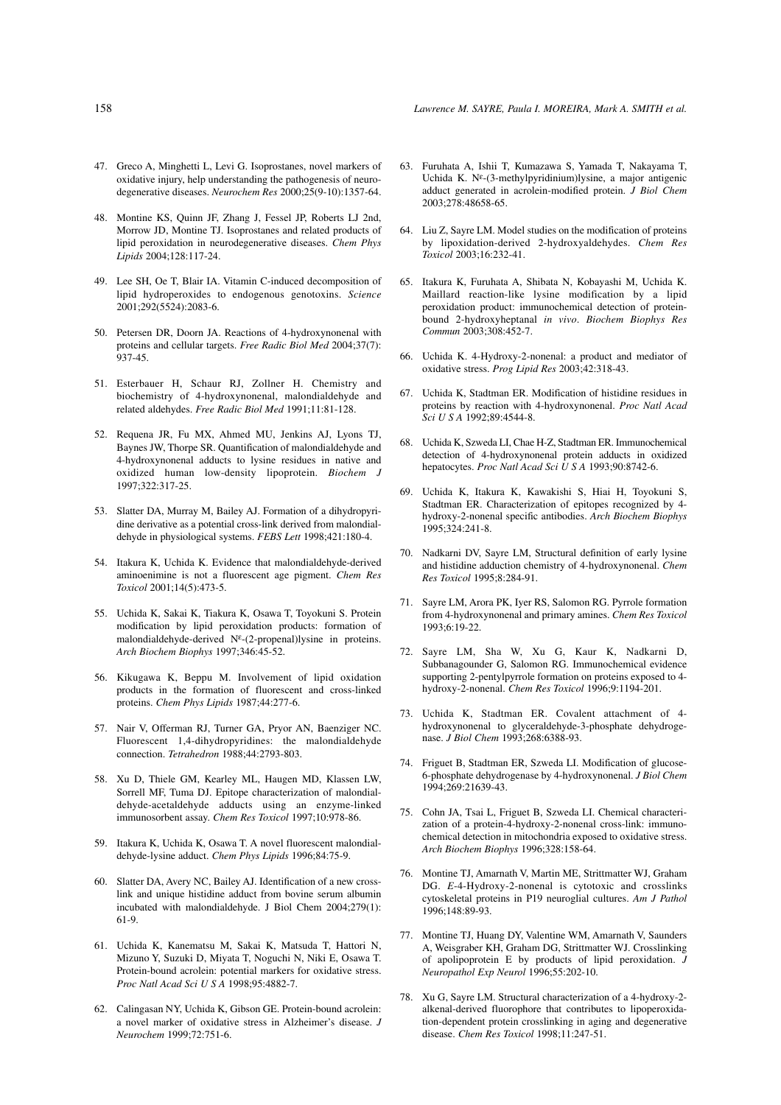- 47. Greco A, Minghetti L, Levi G. Isoprostanes, novel markers of oxidative injury, help understanding the pathogenesis of neurodegenerative diseases. *Neurochem Res* 2000;25(9-10):1357-64.
- 48. Montine KS, Quinn JF, Zhang J, Fessel JP, Roberts LJ 2nd, Morrow JD, Montine TJ. Isoprostanes and related products of lipid peroxidation in neurodegenerative diseases. *Chem Phys Lipids* 2004;128:117-24.
- 49. Lee SH, Oe T, Blair IA. Vitamin C-induced decomposition of lipid hydroperoxides to endogenous genotoxins. *Science* 2001;292(5524):2083-6.
- 50. Petersen DR, Doorn JA. Reactions of 4-hydroxynonenal with proteins and cellular targets. *Free Radic Biol Med* 2004;37(7): 937-45.
- 51. Esterbauer H, Schaur RJ, Zollner H. Chemistry and biochemistry of 4-hydroxynonenal, malondialdehyde and related aldehydes. *Free Radic Biol Med* 1991;11:81-128.
- 52. Requena JR, Fu MX, Ahmed MU, Jenkins AJ, Lyons TJ, Baynes JW, Thorpe SR. Quantification of malondialdehyde and 4-hydroxynonenal adducts to lysine residues in native and oxidized human low-density lipoprotein. *Biochem J* 1997;322:317-25.
- 53. Slatter DA, Murray M, Bailey AJ. Formation of a dihydropyridine derivative as a potential cross-link derived from malondialdehyde in physiological systems. *FEBS Lett* 1998;421:180-4.
- 54. Itakura K, Uchida K. Evidence that malondialdehyde-derived aminoenimine is not a fluorescent age pigment. *Chem Res Toxicol* 2001;14(5):473-5.
- 55. Uchida K, Sakai K, Tiakura K, Osawa T, Toyokuni S. Protein modification by lipid peroxidation products: formation of malondialdehyde-derived Nε-(2-propenal)lysine in proteins. *Arch Biochem Biophys* 1997;346:45-52.
- 56. Kikugawa K, Beppu M. Involvement of lipid oxidation products in the formation of fluorescent and cross-linked proteins. *Chem Phys Lipids* 1987;44:277-6.
- 57. Nair V, Offerman RJ, Turner GA, Pryor AN, Baenziger NC. Fluorescent 1,4-dihydropyridines: the malondialdehyde connection. *Tetrahedron* 1988;44:2793-803.
- 58. Xu D, Thiele GM, Kearley ML, Haugen MD, Klassen LW, Sorrell MF, Tuma DJ. Epitope characterization of malondialdehyde-acetaldehyde adducts using an enzyme-linked immunosorbent assay. *Chem Res Toxicol* 1997;10:978-86.
- 59. Itakura K, Uchida K, Osawa T. A novel fluorescent malondialdehyde-lysine adduct. *Chem Phys Lipids* 1996;84:75-9.
- 60. Slatter DA, Avery NC, Bailey AJ. Identification of a new crosslink and unique histidine adduct from bovine serum albumin incubated with malondialdehyde. J Biol Chem 2004;279(1): 61-9.
- 61. Uchida K, Kanematsu M, Sakai K, Matsuda T, Hattori N, Mizuno Y, Suzuki D, Miyata T, Noguchi N, Niki E, Osawa T. Protein-bound acrolein: potential markers for oxidative stress. *Proc Natl Acad Sci U S A* 1998;95:4882-7.
- 62. Calingasan NY, Uchida K, Gibson GE. Protein-bound acrolein: a novel marker of oxidative stress in Alzheimer's disease. *J Neurochem* 1999;72:751-6.
- 63. Furuhata A, Ishii T, Kumazawa S, Yamada T, Nakayama T, Uchida K. Nε-(3-methylpyridinium)lysine, a major antigenic adduct generated in acrolein-modified protein. *J Biol Chem* 2003;278:48658-65.
- 64. Liu Z, Sayre LM. Model studies on the modification of proteins by lipoxidation-derived 2-hydroxyaldehydes. *Chem Res Toxicol* 2003;16:232-41.
- 65. Itakura K, Furuhata A, Shibata N, Kobayashi M, Uchida K. Maillard reaction-like lysine modification by a lipid peroxidation product: immunochemical detection of proteinbound 2-hydroxyheptanal *in vivo*. *Biochem Biophys Res Commun* 2003;308:452-7.
- 66. Uchida K. 4-Hydroxy-2-nonenal: a product and mediator of oxidative stress. *Prog Lipid Res* 2003;42:318-43.
- 67. Uchida K, Stadtman ER. Modification of histidine residues in proteins by reaction with 4-hydroxynonenal. *Proc Natl Acad Sci U S A* 1992;89:4544-8.
- 68. Uchida K, Szweda LI, Chae H-Z, Stadtman ER. Immunochemical detection of 4-hydroxynonenal protein adducts in oxidized hepatocytes. *Proc Natl Acad Sci U S A* 1993;90:8742-6.
- 69. Uchida K, Itakura K, Kawakishi S, Hiai H, Toyokuni S, Stadtman ER. Characterization of epitopes recognized by 4 hydroxy-2-nonenal specific antibodies. *Arch Biochem Biophys* 1995;324:241-8.
- 70. Nadkarni DV, Sayre LM, Structural definition of early lysine and histidine adduction chemistry of 4-hydroxynonenal. *Chem Res Toxicol* 1995;8:284-91.
- 71. Sayre LM, Arora PK, Iyer RS, Salomon RG. Pyrrole formation from 4-hydroxynonenal and primary amines. *Chem Res Toxicol* 1993;6:19-22.
- 72. Sayre LM, Sha W, Xu G, Kaur K, Nadkarni D, Subbanagounder G, Salomon RG. Immunochemical evidence supporting 2-pentylpyrrole formation on proteins exposed to 4 hydroxy-2-nonenal. *Chem Res Toxicol* 1996;9:1194-201.
- 73. Uchida K, Stadtman ER. Covalent attachment of 4 hydroxynonenal to glyceraldehyde-3-phosphate dehydrogenase. *J Biol Chem* 1993;268:6388-93.
- 74. Friguet B, Stadtman ER, Szweda LI. Modification of glucose-6-phosphate dehydrogenase by 4-hydroxynonenal. *J Biol Chem* 1994;269:21639-43.
- 75. Cohn JA, Tsai L, Friguet B, Szweda LI. Chemical characterization of a protein-4-hydroxy-2-nonenal cross-link: immunochemical detection in mitochondria exposed to oxidative stress. *Arch Biochem Biophys* 1996;328:158-64.
- 76. Montine TJ, Amarnath V, Martin ME, Strittmatter WJ, Graham DG. *E*-4-Hydroxy-2-nonenal is cytotoxic and crosslinks cytoskeletal proteins in P19 neuroglial cultures. *Am J Pathol* 1996;148:89-93.
- 77. Montine TJ, Huang DY, Valentine WM, Amarnath V, Saunders A, Weisgraber KH, Graham DG, Strittmatter WJ. Crosslinking of apolipoprotein E by products of lipid peroxidation. *J Neuropathol Exp Neurol* 1996;55:202-10.
- 78. Xu G, Sayre LM. Structural characterization of a 4-hydroxy-2 alkenal-derived fluorophore that contributes to lipoperoxidation-dependent protein crosslinking in aging and degenerative disease. *Chem Res Toxicol* 1998;11:247-51.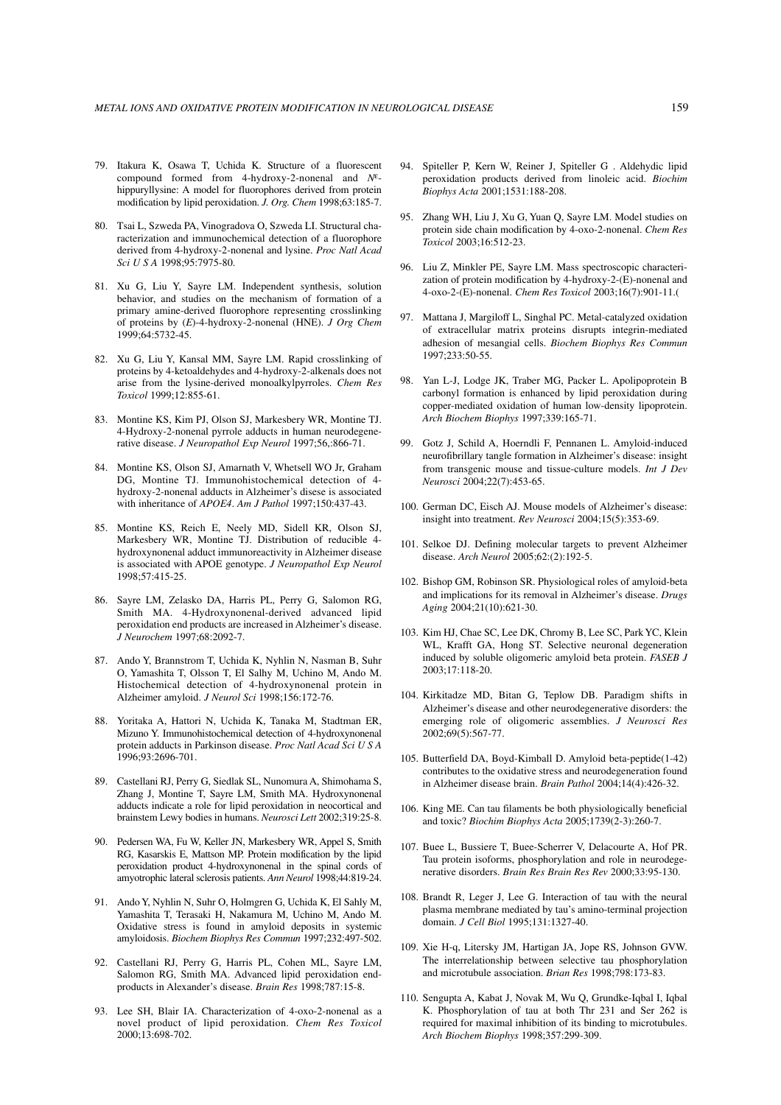- 79. Itakura K, Osawa T, Uchida K. Structure of a fluorescent compound formed from 4-hydroxy-2-nonenal and *N*εhippuryllysine: A model for fluorophores derived from protein modification by lipid peroxidation. *J. Org. Chem* 1998;63:185-7.
- 80. Tsai L, Szweda PA, Vinogradova O, Szweda LI. Structural characterization and immunochemical detection of a fluorophore derived from 4-hydroxy-2-nonenal and lysine. *Proc Natl Acad Sci U S A* 1998;95:7975-80.
- 81. Xu G, Liu Y, Sayre LM. Independent synthesis, solution behavior, and studies on the mechanism of formation of a primary amine-derived fluorophore representing crosslinking of proteins by (*E*)-4-hydroxy-2-nonenal (HNE). *J Org Chem* 1999;64:5732-45.
- 82. Xu G, Liu Y, Kansal MM, Sayre LM. Rapid crosslinking of proteins by 4-ketoaldehydes and 4-hydroxy-2-alkenals does not arise from the lysine-derived monoalkylpyrroles. *Chem Res Toxicol* 1999;12:855-61.
- 83. Montine KS, Kim PJ, Olson SJ, Markesbery WR, Montine TJ. 4-Hydroxy-2-nonenal pyrrole adducts in human neurodegenerative disease. *J Neuropathol Exp Neurol* 1997;56,:866-71.
- 84. Montine KS, Olson SJ, Amarnath V, Whetsell WO Jr, Graham DG, Montine TJ. Immunohistochemical detection of 4 hydroxy-2-nonenal adducts in Alzheimer's disese is associated with inheritance of *APOE4*. *Am J Pathol* 1997;150:437-43.
- 85. Montine KS, Reich E, Neely MD, Sidell KR, Olson SJ, Markesbery WR, Montine TJ. Distribution of reducible 4 hydroxynonenal adduct immunoreactivity in Alzheimer disease is associated with APOE genotype. *J Neuropathol Exp Neurol* 1998;57:415-25.
- 86. Sayre LM, Zelasko DA, Harris PL, Perry G, Salomon RG, Smith MA. 4-Hydroxynonenal-derived advanced lipid peroxidation end products are increased in Alzheimer's disease. *J Neurochem* 1997;68:2092-7.
- 87. Ando Y, Brannstrom T, Uchida K, Nyhlin N, Nasman B, Suhr O, Yamashita T, Olsson T, El Salhy M, Uchino M, Ando M. Histochemical detection of 4-hydroxynonenal protein in Alzheimer amyloid. *J Neurol Sci* 1998;156:172-76.
- 88. Yoritaka A, Hattori N, Uchida K, Tanaka M, Stadtman ER, Mizuno Y. Immunohistochemical detection of 4-hydroxynonenal protein adducts in Parkinson disease. *Proc Natl Acad Sci U S A* 1996;93:2696-701.
- 89. Castellani RJ, Perry G, Siedlak SL, Nunomura A, Shimohama S, Zhang J, Montine T, Sayre LM, Smith MA. Hydroxynonenal adducts indicate a role for lipid peroxidation in neocortical and brainstem Lewy bodies in humans. *Neurosci Lett* 2002;319:25-8.
- 90. Pedersen WA, Fu W, Keller JN, Markesbery WR, Appel S, Smith RG, Kasarskis E, Mattson MP. Protein modification by the lipid peroxidation product 4-hydroxynonenal in the spinal cords of amyotrophic lateral sclerosis patients. *Ann Neurol* 1998;44:819-24.
- 91. Ando Y, Nyhlin N, Suhr O, Holmgren G, Uchida K, El Sahly M, Yamashita T, Terasaki H, Nakamura M, Uchino M, Ando M. Oxidative stress is found in amyloid deposits in systemic amyloidosis. *Biochem Biophys Res Commun* 1997;232:497-502.
- 92. Castellani RJ, Perry G, Harris PL, Cohen ML, Sayre LM, Salomon RG, Smith MA. Advanced lipid peroxidation endproducts in Alexander's disease. *Brain Res* 1998;787:15-8.
- 93. Lee SH, Blair IA. Characterization of 4-oxo-2-nonenal as a novel product of lipid peroxidation. *Chem Res Toxicol* 2000;13:698-702.
- 94. Spiteller P, Kern W, Reiner J, Spiteller G . Aldehydic lipid peroxidation products derived from linoleic acid. *Biochim Biophys Acta* 2001;1531:188-208.
- 95. Zhang WH, Liu J, Xu G, Yuan Q, Sayre LM. Model studies on protein side chain modification by 4-oxo-2-nonenal. *Chem Res Toxicol* 2003;16:512-23.
- 96. Liu Z, Minkler PE, Sayre LM. Mass spectroscopic characterization of protein modification by 4-hydroxy-2-(E)-nonenal and 4-oxo-2-(E)-nonenal. *Chem Res Toxicol* 2003;16(7):901-11.(
- 97. Mattana J, Margiloff L, Singhal PC. Metal-catalyzed oxidation of extracellular matrix proteins disrupts integrin-mediated adhesion of mesangial cells. *Biochem Biophys Res Commun* 1997;233:50-55.
- 98. Yan L-J, Lodge JK, Traber MG, Packer L. Apolipoprotein B carbonyl formation is enhanced by lipid peroxidation during copper-mediated oxidation of human low-density lipoprotein. *Arch Biochem Biophys* 1997;339:165-71.
- 99. Gotz J, Schild A, Hoerndli F, Pennanen L. Amyloid-induced neurofibrillary tangle formation in Alzheimer's disease: insight from transgenic mouse and tissue-culture models. *Int J Dev Neurosci* 2004;22(7):453-65.
- 100. German DC, Eisch AJ. Mouse models of Alzheimer's disease: insight into treatment. *Rev Neurosci* 2004;15(5):353-69.
- 101. Selkoe DJ. Defining molecular targets to prevent Alzheimer disease. *Arch Neurol* 2005;62:(2):192-5.
- 102. Bishop GM, Robinson SR. Physiological roles of amyloid-beta and implications for its removal in Alzheimer's disease. *Drugs Aging* 2004;21(10):621-30.
- 103. Kim HJ, Chae SC, Lee DK, Chromy B, Lee SC, Park YC, Klein WL, Krafft GA, Hong ST. Selective neuronal degeneration induced by soluble oligomeric amyloid beta protein. *FASEB J* 2003;17:118-20.
- 104. Kirkitadze MD, Bitan G, Teplow DB. Paradigm shifts in Alzheimer's disease and other neurodegenerative disorders: the emerging role of oligomeric assemblies. *J Neurosci Res* 2002;69(5):567-77.
- 105. Butterfield DA, Boyd-Kimball D. Amyloid beta-peptide(1-42) contributes to the oxidative stress and neurodegeneration found in Alzheimer disease brain. *Brain Pathol* 2004;14(4):426-32.
- 106. King ME. Can tau filaments be both physiologically beneficial and toxic? *Biochim Biophys Acta* 2005;1739(2-3):260-7.
- 107. Buee L, Bussiere T, Buee-Scherrer V, Delacourte A, Hof PR. Tau protein isoforms, phosphorylation and role in neurodegenerative disorders. *Brain Res Brain Res Rev* 2000;33:95-130.
- 108. Brandt R, Leger J, Lee G. Interaction of tau with the neural plasma membrane mediated by tau's amino-terminal projection domain. *J Cell Biol* 1995;131:1327-40.
- 109. Xie H-q, Litersky JM, Hartigan JA, Jope RS, Johnson GVW. The interrelationship between selective tau phosphorylation and microtubule association. *Brian Res* 1998;798:173-83.
- 110. Sengupta A, Kabat J, Novak M, Wu Q, Grundke-Iqbal I, Iqbal K. Phosphorylation of tau at both Thr 231 and Ser 262 is required for maximal inhibition of its binding to microtubules. *Arch Biochem Biophys* 1998;357:299-309.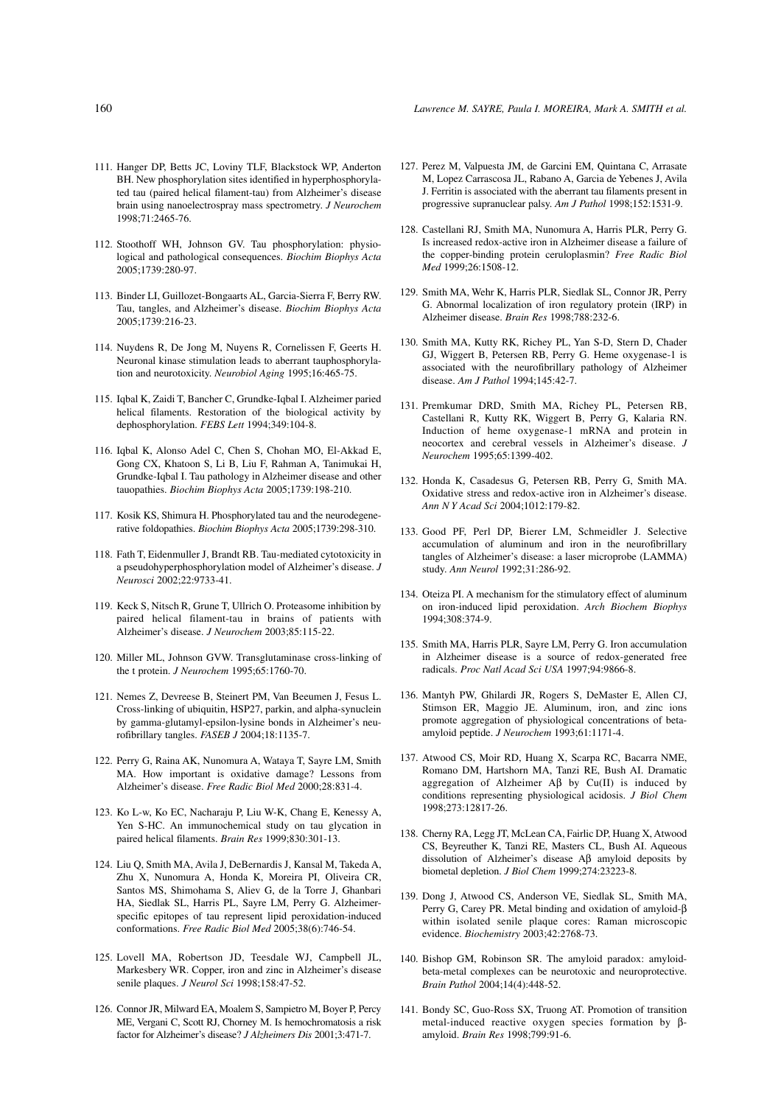- 111. Hanger DP, Betts JC, Loviny TLF, Blackstock WP, Anderton BH. New phosphorylation sites identified in hyperphosphorylated tau (paired helical filament-tau) from Alzheimer's disease brain using nanoelectrospray mass spectrometry. *J Neurochem* 1998;71:2465-76.
- 112. Stoothoff WH, Johnson GV. Tau phosphorylation: physiological and pathological consequences. *Biochim Biophys Acta* 2005;1739:280-97.
- 113. Binder LI, Guillozet-Bongaarts AL, Garcia-Sierra F, Berry RW. Tau, tangles, and Alzheimer's disease. *Biochim Biophys Acta* 2005;1739:216-23.
- 114. Nuydens R, De Jong M, Nuyens R, Cornelissen F, Geerts H. Neuronal kinase stimulation leads to aberrant tauphosphorylation and neurotoxicity. *Neurobiol Aging* 1995;16:465-75.
- 115. Iqbal K, Zaidi T, Bancher C, Grundke-Iqbal I. Alzheimer paried helical filaments. Restoration of the biological activity by dephosphorylation. *FEBS Lett* 1994;349:104-8.
- 116. Iqbal K, Alonso Adel C, Chen S, Chohan MO, El-Akkad E, Gong CX, Khatoon S, Li B, Liu F, Rahman A, Tanimukai H, Grundke-Iqbal I. Tau pathology in Alzheimer disease and other tauopathies. *Biochim Biophys Acta* 2005;1739:198-210.
- 117. Kosik KS, Shimura H. Phosphorylated tau and the neurodegenerative foldopathies. *Biochim Biophys Acta* 2005;1739:298-310.
- 118. Fath T, Eidenmuller J, Brandt RB. Tau-mediated cytotoxicity in a pseudohyperphosphorylation model of Alzheimer's disease. *J Neurosci* 2002;22:9733-41.
- 119. Keck S, Nitsch R, Grune T, Ullrich O. Proteasome inhibition by paired helical filament-tau in brains of patients with Alzheimer's disease. *J Neurochem* 2003;85:115-22.
- 120. Miller ML, Johnson GVW. Transglutaminase cross-linking of the t protein. *J Neurochem* 1995;65:1760-70.
- 121. Nemes Z, Devreese B, Steinert PM, Van Beeumen J, Fesus L. Cross-linking of ubiquitin, HSP27, parkin, and alpha-synuclein by gamma-glutamyl-epsilon-lysine bonds in Alzheimer's neurofibrillary tangles. *FASEB J* 2004;18:1135-7.
- 122. Perry G, Raina AK, Nunomura A, Wataya T, Sayre LM, Smith MA. How important is oxidative damage? Lessons from Alzheimer's disease. *Free Radic Biol Med* 2000;28:831-4.
- 123. Ko L-w, Ko EC, Nacharaju P, Liu W-K, Chang E, Kenessy A, Yen S-HC. An immunochemical study on tau glycation in paired helical filaments. *Brain Res* 1999;830:301-13.
- 124. Liu Q, Smith MA, Avila J, DeBernardis J, Kansal M, Takeda A, Zhu X, Nunomura A, Honda K, Moreira PI, Oliveira CR, Santos MS, Shimohama S, Aliev G, de la Torre J, Ghanbari HA, Siedlak SL, Harris PL, Sayre LM, Perry G. Alzheimerspecific epitopes of tau represent lipid peroxidation-induced conformations. *Free Radic Biol Med* 2005;38(6):746-54.
- 125. Lovell MA, Robertson JD, Teesdale WJ, Campbell JL, Markesbery WR. Copper, iron and zinc in Alzheimer's disease senile plaques. *J Neurol Sci* 1998;158:47-52.
- 126. Connor JR, Milward EA, Moalem S, Sampietro M, Boyer P, Percy ME, Vergani C, Scott RJ, Chorney M. Is hemochromatosis a risk factor for Alzheimer's disease? *J Alzheimers Dis* 2001;3:471-7.
- 127. Perez M, Valpuesta JM, de Garcini EM, Quintana C, Arrasate M, Lopez Carrascosa JL, Rabano A, Garcia de Yebenes J, Avila J. Ferritin is associated with the aberrant tau filaments present in progressive supranuclear palsy. *Am J Pathol* 1998;152:1531-9.
- 128. Castellani RJ, Smith MA, Nunomura A, Harris PLR, Perry G. Is increased redox-active iron in Alzheimer disease a failure of the copper-binding protein ceruloplasmin? *Free Radic Biol Med* 1999;26:1508-12.
- 129. Smith MA, Wehr K, Harris PLR, Siedlak SL, Connor JR, Perry G. Abnormal localization of iron regulatory protein (IRP) in Alzheimer disease. *Brain Res* 1998;788:232-6.
- 130. Smith MA, Kutty RK, Richey PL, Yan S-D, Stern D, Chader GJ, Wiggert B, Petersen RB, Perry G. Heme oxygenase-1 is associated with the neurofibrillary pathology of Alzheimer disease. *Am J Pathol* 1994;145:42-7.
- 131. Premkumar DRD, Smith MA, Richey PL, Petersen RB, Castellani R, Kutty RK, Wiggert B, Perry G, Kalaria RN. Induction of heme oxygenase-1 mRNA and protein in neocortex and cerebral vessels in Alzheimer's disease. *J Neurochem* 1995;65:1399-402.
- 132. Honda K, Casadesus G, Petersen RB, Perry G, Smith MA. Oxidative stress and redox-active iron in Alzheimer's disease. *Ann N Y Acad Sci* 2004;1012:179-82.
- 133. Good PF, Perl DP, Bierer LM, Schmeidler J. Selective accumulation of aluminum and iron in the neurofibrillary tangles of Alzheimer's disease: a laser microprobe (LAMMA) study. *Ann Neurol* 1992;31:286-92.
- 134. Oteiza PI. A mechanism for the stimulatory effect of aluminum on iron-induced lipid peroxidation. *Arch Biochem Biophys* 1994;308:374-9.
- 135. Smith MA, Harris PLR, Sayre LM, Perry G. Iron accumulation in Alzheimer disease is a source of redox-generated free radicals. *Proc Natl Acad Sci USA* 1997;94:9866-8.
- 136. Mantyh PW, Ghilardi JR, Rogers S, DeMaster E, Allen CJ, Stimson ER, Maggio JE. Aluminum, iron, and zinc ions promote aggregation of physiological concentrations of betaamyloid peptide. *J Neurochem* 1993;61:1171-4.
- 137. Atwood CS, Moir RD, Huang X, Scarpa RC, Bacarra NME, Romano DM, Hartshorn MA, Tanzi RE, Bush AI. Dramatic aggregation of Alzheimer  $A\beta$  by Cu(II) is induced by conditions representing physiological acidosis. *J Biol Chem* 1998;273:12817-26.
- 138. Cherny RA, Legg JT, McLean CA, Fairlic DP, Huang X, Atwood CS, Beyreuther K, Tanzi RE, Masters CL, Bush AI. Aqueous dissolution of Alzheimer's disease Aβ amyloid deposits by biometal depletion. *J Biol Chem* 1999;274:23223-8.
- 139. Dong J, Atwood CS, Anderson VE, Siedlak SL, Smith MA, Perry G, Carey PR. Metal binding and oxidation of amyloid-β within isolated senile plaque cores: Raman microscopic evidence. *Biochemistry* 2003;42:2768-73.
- 140. Bishop GM, Robinson SR. The amyloid paradox: amyloidbeta-metal complexes can be neurotoxic and neuroprotective. *Brain Pathol* 2004;14(4):448-52.
- 141. Bondy SC, Guo-Ross SX, Truong AT. Promotion of transition metal-induced reactive oxygen species formation by βamyloid. *Brain Res* 1998;799:91-6.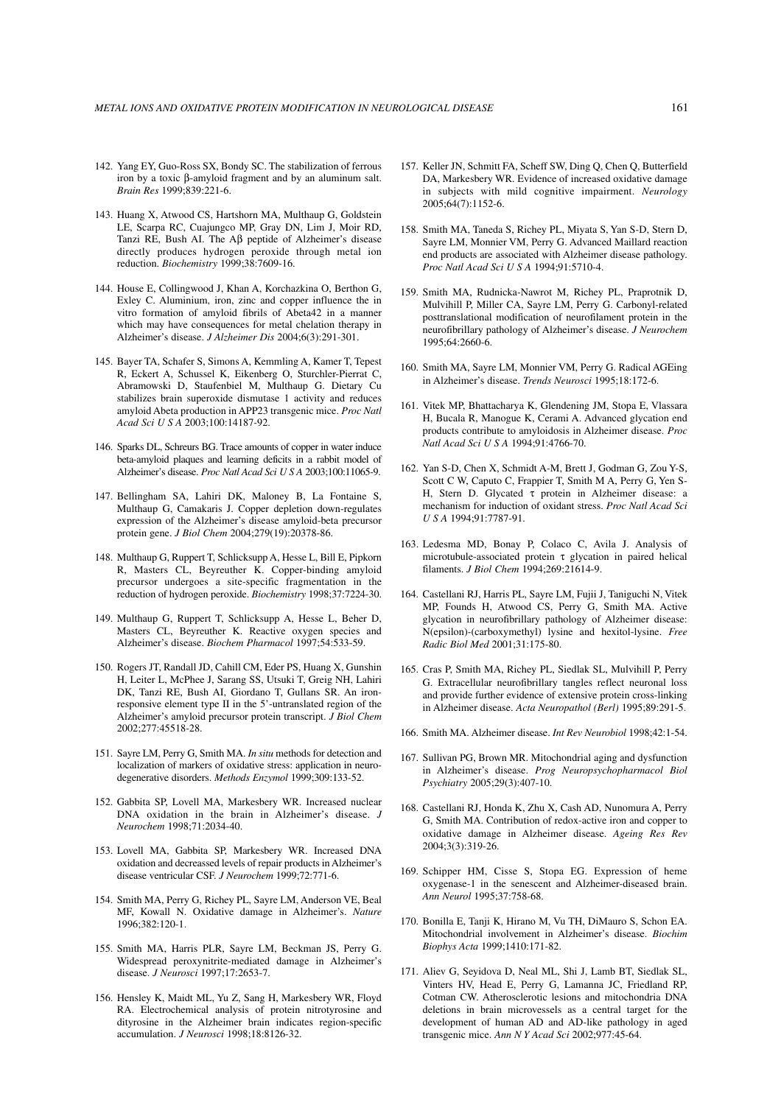- 142. Yang EY, Guo-Ross SX, Bondy SC. The stabilization of ferrous iron by a toxic β-amyloid fragment and by an aluminum salt. *Brain Res* 1999;839:221-6.
- 143. Huang X, Atwood CS, Hartshorn MA, Multhaup G, Goldstein LE, Scarpa RC, Cuajungco MP, Gray DN, Lim J, Moir RD, Tanzi RE, Bush AI. The Aβ peptide of Alzheimer's disease directly produces hydrogen peroxide through metal ion reduction. *Biochemistry* 1999;38:7609-16.
- 144. House E, Collingwood J, Khan A, Korchazkina O, Berthon G, Exley C. Aluminium, iron, zinc and copper influence the in vitro formation of amyloid fibrils of Abeta42 in a manner which may have consequences for metal chelation therapy in Alzheimer's disease. *J Alzheimer Dis* 2004;6(3):291-301.
- 145. Bayer TA, Schafer S, Simons A, Kemmling A, Kamer T, Tepest R, Eckert A, Schussel K, Eikenberg O, Sturchler-Pierrat C, Abramowski D, Staufenbiel M, Multhaup G. Dietary Cu stabilizes brain superoxide dismutase 1 activity and reduces amyloid Abeta production in APP23 transgenic mice. *Proc Natl Acad Sci U S A* 2003;100:14187-92.
- 146. Sparks DL, Schreurs BG. Trace amounts of copper in water induce beta-amyloid plaques and learning deficits in a rabbit model of Alzheimer's disease. *Proc Natl Acad Sci U S A* 2003;100:11065-9.
- 147. Bellingham SA, Lahiri DK, Maloney B, La Fontaine S, Multhaup G, Camakaris J. Copper depletion down-regulates expression of the Alzheimer's disease amyloid-beta precursor protein gene. *J Biol Chem* 2004;279(19):20378-86.
- 148. Multhaup G, Ruppert T, Schlicksupp A, Hesse L, Bill E, Pipkorn R, Masters CL, Beyreuther K. Copper-binding amyloid precursor undergoes a site-specific fragmentation in the reduction of hydrogen peroxide. *Biochemistry* 1998;37:7224-30.
- 149. Multhaup G, Ruppert T, Schlicksupp A, Hesse L, Beher D, Masters CL, Beyreuther K. Reactive oxygen species and Alzheimer's disease. *Biochem Pharmacol* 1997;54:533-59.
- 150. Rogers JT, Randall JD, Cahill CM, Eder PS, Huang X, Gunshin H, Leiter L, McPhee J, Sarang SS, Utsuki T, Greig NH, Lahiri DK, Tanzi RE, Bush AI, Giordano T, Gullans SR. An ironresponsive element type II in the 5'-untranslated region of the Alzheimer's amyloid precursor protein transcript. *J Biol Chem* 2002;277:45518-28.
- 151. Sayre LM, Perry G, Smith MA. *In situ* methods for detection and localization of markers of oxidative stress: application in neurodegenerative disorders. *Methods Enzymol* 1999;309:133-52.
- 152. Gabbita SP, Lovell MA, Markesbery WR. Increased nuclear DNA oxidation in the brain in Alzheimer's disease. *J Neurochem* 1998;71:2034-40.
- 153. Lovell MA, Gabbita SP, Markesbery WR. Increased DNA oxidation and decreassed levels of repair products in Alzheimer's disease ventricular CSF. *J Neurochem* 1999;72:771-6.
- 154. Smith MA, Perry G, Richey PL, Sayre LM, Anderson VE, Beal MF, Kowall N. Oxidative damage in Alzheimer's. *Nature* 1996;382:120-1.
- 155. Smith MA, Harris PLR, Sayre LM, Beckman JS, Perry G. Widespread peroxynitrite-mediated damage in Alzheimer's disease. *J Neurosci* 1997;17:2653-7.
- 156. Hensley K, Maidt ML, Yu Z, Sang H, Markesbery WR, Floyd RA. Electrochemical analysis of protein nitrotyrosine and dityrosine in the Alzheimer brain indicates region-specific accumulation. *J Neurosci* 1998;18:8126-32.
- 157. Keller JN, Schmitt FA, Scheff SW, Ding Q, Chen Q, Butterfield DA, Markesbery WR. Evidence of increased oxidative damage in subjects with mild cognitive impairment. *Neurology* 2005;64(7):1152-6.
- 158. Smith MA, Taneda S, Richey PL, Miyata S, Yan S-D, Stern D, Sayre LM, Monnier VM, Perry G. Advanced Maillard reaction end products are associated with Alzheimer disease pathology. *Proc Natl Acad Sci U S A* 1994;91:5710-4.
- 159. Smith MA, Rudnicka-Nawrot M, Richey PL, Praprotnik D, Mulvihill P, Miller CA, Sayre LM, Perry G. Carbonyl-related posttranslational modification of neurofilament protein in the neurofibrillary pathology of Alzheimer's disease. *J Neurochem* 1995;64:2660-6.
- 160. Smith MA, Sayre LM, Monnier VM, Perry G. Radical AGEing in Alzheimer's disease. *Trends Neurosci* 1995;18:172-6.
- 161. Vitek MP, Bhattacharya K, Glendening JM, Stopa E, Vlassara H, Bucala R, Manogue K, Cerami A. Advanced glycation end products contribute to amyloidosis in Alzheimer disease. *Proc Natl Acad Sci U S A* 1994;91:4766-70.
- 162. Yan S-D, Chen X, Schmidt A-M, Brett J, Godman G, Zou Y-S, Scott C W, Caputo C, Frappier T, Smith M A, Perry G, Yen S-H, Stern D. Glycated τ protein in Alzheimer disease: a mechanism for induction of oxidant stress. *Proc Natl Acad Sci U S A* 1994;91:7787-91.
- 163. Ledesma MD, Bonay P, Colaco C, Avila J. Analysis of microtubule-associated protein τ glycation in paired helical filaments. *J Biol Chem* 1994;269:21614-9.
- 164. Castellani RJ, Harris PL, Sayre LM, Fujii J, Taniguchi N, Vitek MP, Founds H, Atwood CS, Perry G, Smith MA. Active glycation in neurofibrillary pathology of Alzheimer disease: N(epsilon)-(carboxymethyl) lysine and hexitol-lysine. *Free Radic Biol Med* 2001;31:175-80.
- 165. Cras P, Smith MA, Richey PL, Siedlak SL, Mulvihill P, Perry G. Extracellular neurofibrillary tangles reflect neuronal loss and provide further evidence of extensive protein cross-linking in Alzheimer disease. *Acta Neuropathol (Berl)* 1995;89:291-5.
- 166. Smith MA. Alzheimer disease. *Int Rev Neurobiol* 1998;42:1-54.
- 167. Sullivan PG, Brown MR. Mitochondrial aging and dysfunction in Alzheimer's disease. *Prog Neuropsychopharmacol Biol Psychiatry* 2005;29(3):407-10.
- 168. Castellani RJ, Honda K, Zhu X, Cash AD, Nunomura A, Perry G, Smith MA. Contribution of redox-active iron and copper to oxidative damage in Alzheimer disease. *Ageing Res Rev* 2004;3(3):319-26.
- 169. Schipper HM, Cisse S, Stopa EG. Expression of heme oxygenase-1 in the senescent and Alzheimer-diseased brain. *Ann Neurol* 1995;37:758-68.
- 170. Bonilla E, Tanji K, Hirano M, Vu TH, DiMauro S, Schon EA. Mitochondrial involvement in Alzheimer's disease. *Biochim Biophys Acta* 1999;1410:171-82.
- 171. Aliev G, Seyidova D, Neal ML, Shi J, Lamb BT, Siedlak SL, Vinters HV, Head E, Perry G, Lamanna JC, Friedland RP, Cotman CW. Atherosclerotic lesions and mitochondria DNA deletions in brain microvessels as a central target for the development of human AD and AD-like pathology in aged transgenic mice. *Ann N Y Acad Sci* 2002;977:45-64.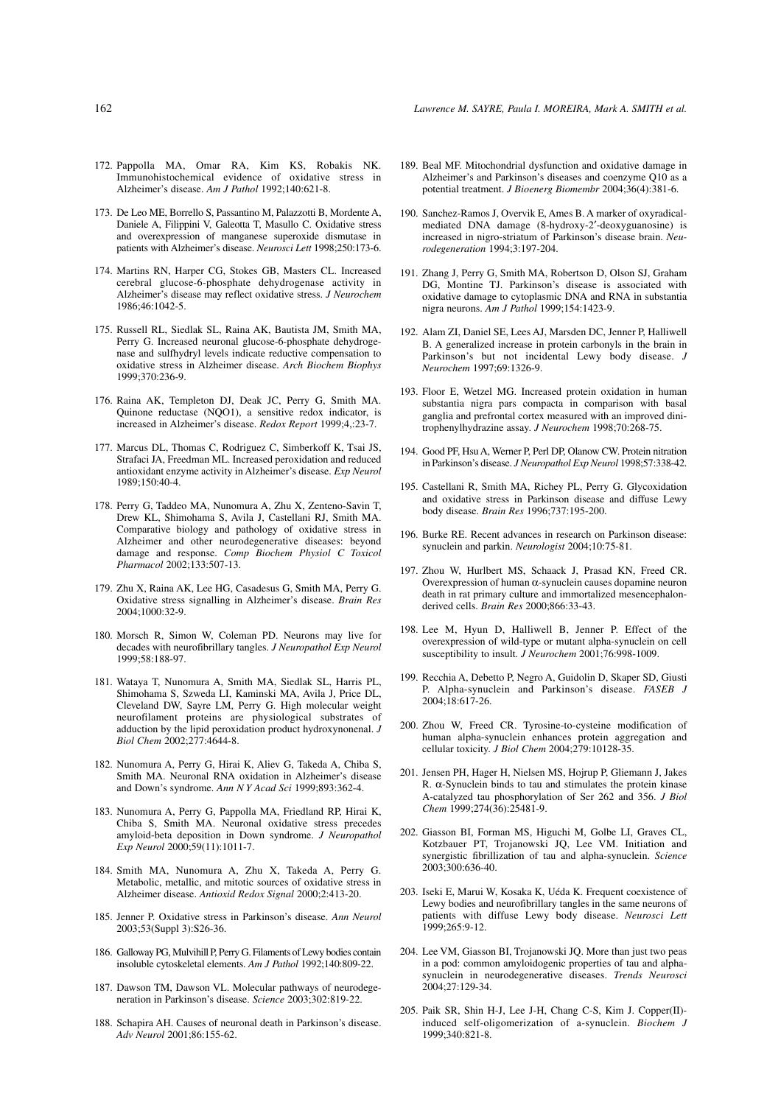- 173. De Leo ME, Borrello S, Passantino M, Palazzotti B, Mordente A, Daniele A, Filippini V, Galeotta T, Masullo C. Oxidative stress and overexpression of manganese superoxide dismutase in patients with Alzheimer's disease. *Neurosci Lett* 1998;250:173-6.
- 174. Martins RN, Harper CG, Stokes GB, Masters CL. Increased cerebral glucose-6-phosphate dehydrogenase activity in Alzheimer's disease may reflect oxidative stress. *J Neurochem* 1986;46:1042-5.
- 175. Russell RL, Siedlak SL, Raina AK, Bautista JM, Smith MA, Perry G. Increased neuronal glucose-6-phosphate dehydrogenase and sulfhydryl levels indicate reductive compensation to oxidative stress in Alzheimer disease. *Arch Biochem Biophys* 1999;370:236-9.
- 176. Raina AK, Templeton DJ, Deak JC, Perry G, Smith MA. Quinone reductase (NQO1), a sensitive redox indicator, is increased in Alzheimer's disease. *Redox Report* 1999;4,:23-7.
- 177. Marcus DL, Thomas C, Rodriguez C, Simberkoff K, Tsai JS, Strafaci JA, Freedman ML. Increased peroxidation and reduced antioxidant enzyme activity in Alzheimer's disease. *Exp Neurol* 1989;150:40-4.
- 178. Perry G, Taddeo MA, Nunomura A, Zhu X, Zenteno-Savin T, Drew KL, Shimohama S, Avila J, Castellani RJ, Smith MA. Comparative biology and pathology of oxidative stress in Alzheimer and other neurodegenerative diseases: beyond damage and response. *Comp Biochem Physiol C Toxicol Pharmacol* 2002;133:507-13.
- 179. Zhu X, Raina AK, Lee HG, Casadesus G, Smith MA, Perry G. Oxidative stress signalling in Alzheimer's disease. *Brain Res* 2004;1000:32-9.
- 180. Morsch R, Simon W, Coleman PD. Neurons may live for decades with neurofibrillary tangles. *J Neuropathol Exp Neurol* 1999;58:188-97.
- 181. Wataya T, Nunomura A, Smith MA, Siedlak SL, Harris PL, Shimohama S, Szweda LI, Kaminski MA, Avila J, Price DL, Cleveland DW, Sayre LM, Perry G. High molecular weight neurofilament proteins are physiological substrates of adduction by the lipid peroxidation product hydroxynonenal. *J Biol Chem* 2002;277:4644-8.
- 182. Nunomura A, Perry G, Hirai K, Aliev G, Takeda A, Chiba S, Smith MA. Neuronal RNA oxidation in Alzheimer's disease and Down's syndrome. *Ann N Y Acad Sci* 1999;893:362-4.
- 183. Nunomura A, Perry G, Pappolla MA, Friedland RP, Hirai K, Chiba S, Smith MA. Neuronal oxidative stress precedes amyloid-beta deposition in Down syndrome. *J Neuropathol Exp Neurol* 2000;59(11):1011-7.
- 184. Smith MA, Nunomura A, Zhu X, Takeda A, Perry G. Metabolic, metallic, and mitotic sources of oxidative stress in Alzheimer disease. *Antioxid Redox Signal* 2000;2:413-20.
- 185. Jenner P. Oxidative stress in Parkinson's disease. *Ann Neurol* 2003;53(Suppl 3):S26-36.
- 186. Galloway PG, Mulvihill P, Perry G. Filaments of Lewy bodies contain insoluble cytoskeletal elements. *Am J Pathol* 1992;140:809-22.
- 187. Dawson TM, Dawson VL. Molecular pathways of neurodegeneration in Parkinson's disease. *Science* 2003;302:819-22.
- 188. Schapira AH. Causes of neuronal death in Parkinson's disease. *Adv Neurol* 2001;86:155-62.
- 189. Beal MF. Mitochondrial dysfunction and oxidative damage in Alzheimer's and Parkinson's diseases and coenzyme Q10 as a potential treatment. *J Bioenerg Biomembr* 2004;36(4):381-6.
- 190. Sanchez-Ramos J, Overvik E, Ames B. A marker of oxyradicalmediated DNA damage (8-hydroxy-2′-deoxyguanosine) is increased in nigro-striatum of Parkinson's disease brain. *Neurodegeneration* 1994;3:197-204.
- 191. Zhang J, Perry G, Smith MA, Robertson D, Olson SJ, Graham DG, Montine TJ. Parkinson's disease is associated with oxidative damage to cytoplasmic DNA and RNA in substantia nigra neurons. *Am J Pathol* 1999;154:1423-9.
- 192. Alam ZI, Daniel SE, Lees AJ, Marsden DC, Jenner P, Halliwell B. A generalized increase in protein carbonyls in the brain in Parkinson's but not incidental Lewy body disease. *J Neurochem* 1997;69:1326-9.
- 193. Floor E, Wetzel MG. Increased protein oxidation in human substantia nigra pars compacta in comparison with basal ganglia and prefrontal cortex measured with an improved dinitrophenylhydrazine assay. *J Neurochem* 1998;70:268-75.
- 194. Good PF, Hsu A, Werner P, Perl DP, Olanow CW. Protein nitration in Parkinson's disease. *J Neuropathol Exp Neurol* 1998;57:338-42.
- 195. Castellani R, Smith MA, Richey PL, Perry G. Glycoxidation and oxidative stress in Parkinson disease and diffuse Lewy body disease. *Brain Res* 1996;737:195-200.
- 196. Burke RE. Recent advances in research on Parkinson disease: synuclein and parkin. *Neurologist* 2004;10:75-81.
- 197. Zhou W, Hurlbert MS, Schaack J, Prasad KN, Freed CR. Overexpression of human α-synuclein causes dopamine neuron death in rat primary culture and immortalized mesencephalonderived cells. *Brain Res* 2000;866:33-43.
- 198. Lee M, Hyun D, Halliwell B, Jenner P. Effect of the overexpression of wild-type or mutant alpha-synuclein on cell susceptibility to insult. *J Neurochem* 2001;76:998-1009.
- 199. Recchia A, Debetto P, Negro A, Guidolin D, Skaper SD, Giusti P. Alpha-synuclein and Parkinson's disease. *FASEB J* 2004;18:617-26.
- 200. Zhou W, Freed CR. Tyrosine-to-cysteine modification of human alpha-synuclein enhances protein aggregation and cellular toxicity. *J Biol Chem* 2004;279:10128-35.
- 201. Jensen PH, Hager H, Nielsen MS, Hojrup P, Gliemann J, Jakes R.  $\alpha$ -Synuclein binds to tau and stimulates the protein kinase A-catalyzed tau phosphorylation of Ser 262 and 356. *J Biol Chem* 1999;274(36):25481-9.
- 202. Giasson BI, Forman MS, Higuchi M, Golbe LI, Graves CL, Kotzbauer PT, Trojanowski JQ, Lee VM. Initiation and synergistic fibrillization of tau and alpha-synuclein. *Science* 2003;300:636-40.
- 203. Iseki E, Marui W, Kosaka K, Uéda K. Frequent coexistence of Lewy bodies and neurofibrillary tangles in the same neurons of patients with diffuse Lewy body disease. *Neurosci Lett* 1999;265:9-12.
- 204. Lee VM, Giasson BI, Trojanowski JQ. More than just two peas in a pod: common amyloidogenic properties of tau and alphasynuclein in neurodegenerative diseases. *Trends Neurosci* 2004;27:129-34.
- 205. Paik SR, Shin H-J, Lee J-H, Chang C-S, Kim J. Copper(II) induced self-oligomerization of a-synuclein. *Biochem J* 1999;340:821-8.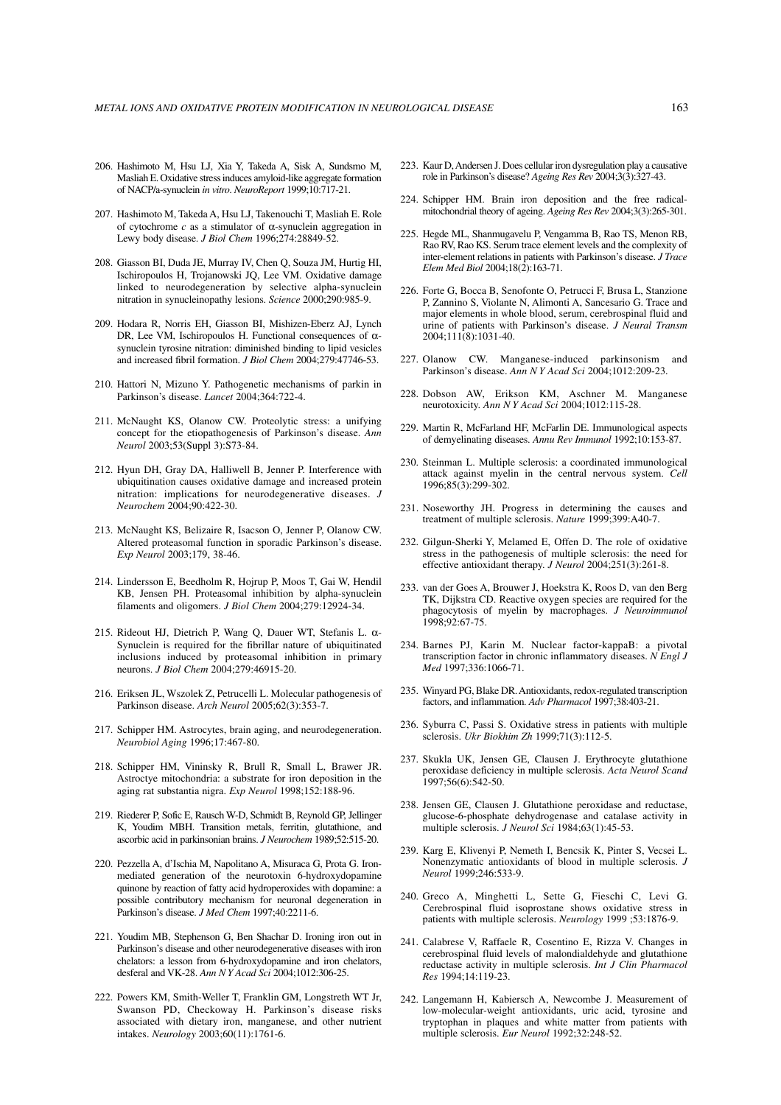- 206. Hashimoto M, Hsu LJ, Xia Y, Takeda A, Sisk A, Sundsmo M, Masliah E. Oxidative stress induces amyloid-like aggregate formation of NACP/a-synuclein *in vitro*. *NeuroReport* 1999;10:717-21.
- 207. Hashimoto M, Takeda A, Hsu LJ, Takenouchi T, Masliah E. Role of cytochrome *c* as a stimulator of α-synuclein aggregation in Lewy body disease. *J Biol Chem* 1996;274:28849-52.
- 208. Giasson BI, Duda JE, Murray IV, Chen Q, Souza JM, Hurtig HI, Ischiropoulos H, Trojanowski JQ, Lee VM. Oxidative damage linked to neurodegeneration by selective alpha-synuclein nitration in synucleinopathy lesions. *Science* 2000;290:985-9.
- 209. Hodara R, Norris EH, Giasson BI, Mishizen-Eberz AJ, Lynch DR, Lee VM, Ischiropoulos H. Functional consequences of  $\alpha$ synuclein tyrosine nitration: diminished binding to lipid vesicles and increased fibril formation. *J Biol Chem* 2004;279:47746-53.
- 210. Hattori N, Mizuno Y. Pathogenetic mechanisms of parkin in Parkinson's disease. *Lancet* 2004;364:722-4.
- 211. McNaught KS, Olanow CW. Proteolytic stress: a unifying concept for the etiopathogenesis of Parkinson's disease. *Ann Neurol* 2003;53(Suppl 3):S73-84.
- 212. Hyun DH, Gray DA, Halliwell B, Jenner P. Interference with ubiquitination causes oxidative damage and increased protein nitration: implications for neurodegenerative diseases. *J Neurochem* 2004;90:422-30.
- 213. McNaught KS, Belizaire R, Isacson O, Jenner P, Olanow CW. Altered proteasomal function in sporadic Parkinson's disease. *Exp Neurol* 2003;179, 38-46.
- 214. Lindersson E, Beedholm R, Hojrup P, Moos T, Gai W, Hendil KB, Jensen PH. Proteasomal inhibition by alpha-synuclein filaments and oligomers. *J Biol Chem* 2004;279:12924-34.
- 215. Rideout HJ, Dietrich P, Wang Q, Dauer WT, Stefanis L. α-Synuclein is required for the fibrillar nature of ubiquitinated inclusions induced by proteasomal inhibition in primary neurons. *J Biol Chem* 2004;279:46915-20.
- 216. Eriksen JL, Wszolek Z, Petrucelli L. Molecular pathogenesis of Parkinson disease. *Arch Neurol* 2005;62(3):353-7.
- 217. Schipper HM. Astrocytes, brain aging, and neurodegeneration. *Neurobiol Aging* 1996;17:467-80.
- 218. Schipper HM, Vininsky R, Brull R, Small L, Brawer JR. Astroctye mitochondria: a substrate for iron deposition in the aging rat substantia nigra. *Exp Neurol* 1998;152:188-96.
- 219. Riederer P, Sofic E, Rausch W-D, Schmidt B, Reynold GP, Jellinger K, Youdim MBH. Transition metals, ferritin, glutathione, and ascorbic acid in parkinsonian brains. *J Neurochem* 1989;52:515-20.
- 220. Pezzella A, d'Ischia M, Napolitano A, Misuraca G, Prota G. Ironmediated generation of the neurotoxin 6-hydroxydopamine quinone by reaction of fatty acid hydroperoxides with dopamine: a possible contributory mechanism for neuronal degeneration in Parkinson's disease. *J Med Chem* 1997;40:2211-6.
- 221. Youdim MB, Stephenson G, Ben Shachar D. Ironing iron out in Parkinson's disease and other neurodegenerative diseases with iron chelators: a lesson from 6-hydroxydopamine and iron chelators, desferal and VK-28. *Ann N Y Acad Sci* 2004;1012:306-25.
- 222. Powers KM, Smith-Weller T, Franklin GM, Longstreth WT Jr, Swanson PD, Checkoway H. Parkinson's disease risks associated with dietary iron, manganese, and other nutrient intakes. *Neurology* 2003;60(11):1761-6.
- 223. Kaur D, Andersen J. Does cellular iron dysregulation play a causative role in Parkinson's disease? *Ageing Res Rev* 2004;3(3):327-43.
- 224. Schipper HM. Brain iron deposition and the free radicalmitochondrial theory of ageing. *Ageing Res Rev* 2004;3(3):265-301.
- 225. Hegde ML, Shanmugavelu P, Vengamma B, Rao TS, Menon RB, Rao RV, Rao KS. Serum trace element levels and the complexity of inter-element relations in patients with Parkinson's disease. *J Trace Elem Med Biol* 2004;18(2):163-71.
- 226. Forte G, Bocca B, Senofonte O, Petrucci F, Brusa L, Stanzione P, Zannino S, Violante N, Alimonti A, Sancesario G. Trace and major elements in whole blood, serum, cerebrospinal fluid and urine of patients with Parkinson's disease. *J Neural Transm* 2004;111(8):1031-40.
- 227. Olanow CW. Manganese-induced parkinsonism and Parkinson's disease. *Ann N Y Acad Sci* 2004;1012:209-23.
- 228. Dobson AW, Erikson KM, Aschner M. Manganese neurotoxicity. *Ann N Y Acad Sci* 2004;1012:115-28.
- 229. Martin R, McFarland HF, McFarlin DE. Immunological aspects of demyelinating diseases. *Annu Rev Immunol* 1992;10:153-87.
- 230. Steinman L. Multiple sclerosis: a coordinated immunological attack against myelin in the central nervous system. *Cell* 1996;85(3):299-302.
- 231. Noseworthy JH. Progress in determining the causes and treatment of multiple sclerosis. *Nature* 1999;399:A40-7.
- 232. Gilgun-Sherki Y, Melamed E, Offen D. The role of oxidative stress in the pathogenesis of multiple sclerosis: the need for effective antioxidant therapy. *J Neurol* 2004;251(3):261-8.
- 233. van der Goes A, Brouwer J, Hoekstra K, Roos D, van den Berg TK, Dijkstra CD. Reactive oxygen species are required for the phagocytosis of myelin by macrophages. *J Neuroimmunol* 1998;92:67-75.
- 234. Barnes PJ, Karin M. Nuclear factor-kappaB: a pivotal transcription factor in chronic inflammatory diseases. *N Engl J Med* 1997;336:1066-71.
- 235. Winyard PG, Blake DR. Antioxidants, redox-regulated transcription factors, and inflammation. *Adv Pharmacol* 1997;38:403-21.
- 236. Syburra C, Passi S. Oxidative stress in patients with multiple sclerosis. *Ukr Biokhim Zh* 1999;71(3):112-5.
- 237. Skukla UK, Jensen GE, Clausen J. Erythrocyte glutathione peroxidase deficiency in multiple sclerosis. *Acta Neurol Scand* 1997;56(6):542-50.
- 238. Jensen GE, Clausen J. Glutathione peroxidase and reductase, glucose-6-phosphate dehydrogenase and catalase activity in multiple sclerosis. *J Neurol Sci* 1984;63(1):45-53.
- 239. Karg E, Klivenyi P, Nemeth I, Bencsik K, Pinter S, Vecsei L. Nonenzymatic antioxidants of blood in multiple sclerosis. *J Neurol* 1999;246:533-9.
- 240. Greco A, Minghetti L, Sette G, Fieschi C, Levi G. Cerebrospinal fluid isoprostane shows oxidative stress in patients with multiple sclerosis. *Neurology* 1999 ;53:1876-9.
- 241. Calabrese V, Raffaele R, Cosentino E, Rizza V. Changes in cerebrospinal fluid levels of malondialdehyde and glutathione reductase activity in multiple sclerosis. *Int J Clin Pharmacol Res* 1994;14:119-23.
- 242. Langemann H, Kabiersch A, Newcombe J. Measurement of low-molecular-weight antioxidants, uric acid, tyrosine and tryptophan in plaques and white matter from patients with multiple sclerosis. *Eur Neurol* 1992;32:248-52.